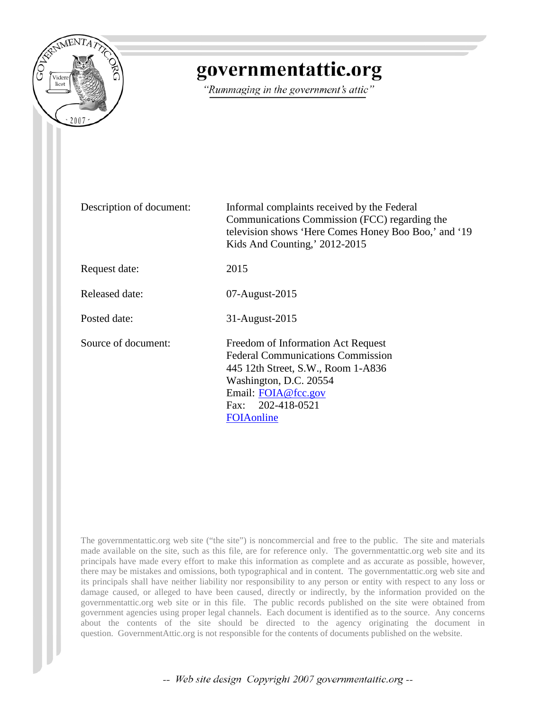

## governmentattic.org

"Rummaging in the government's attic"

| Description of document: | Informal complaints received by the Federal<br>Communications Commission (FCC) regarding the<br>television shows 'Here Comes Honey Boo Boo,' and '19<br>Kids And Counting,' 2012-2015                    |
|--------------------------|----------------------------------------------------------------------------------------------------------------------------------------------------------------------------------------------------------|
| Request date:            | 2015                                                                                                                                                                                                     |
| Released date:           | 07-August-2015                                                                                                                                                                                           |
| Posted date:             | 31-August-2015                                                                                                                                                                                           |
| Source of document:      | Freedom of Information Act Request<br><b>Federal Communications Commission</b><br>445 12th Street, S.W., Room 1-A836<br>Washington, D.C. 20554<br>Email: FOIA@fcc.gov<br>Fax: 202-418-0521<br>FOIAonline |

The governmentattic.org web site ("the site") is noncommercial and free to the public. The site and materials made available on the site, such as this file, are for reference only. The governmentattic.org web site and its principals have made every effort to make this information as complete and as accurate as possible, however, there may be mistakes and omissions, both typographical and in content. The governmentattic.org web site and its principals shall have neither liability nor responsibility to any person or entity with respect to any loss or damage caused, or alleged to have been caused, directly or indirectly, by the information provided on the governmentattic.org web site or in this file. The public records published on the site were obtained from government agencies using proper legal channels. Each document is identified as to the source. Any concerns about the contents of the site should be directed to the agency originating the document in question. GovernmentAttic.org is not responsible for the contents of documents published on the website.

-- Web site design Copyright 2007 governmentattic.org --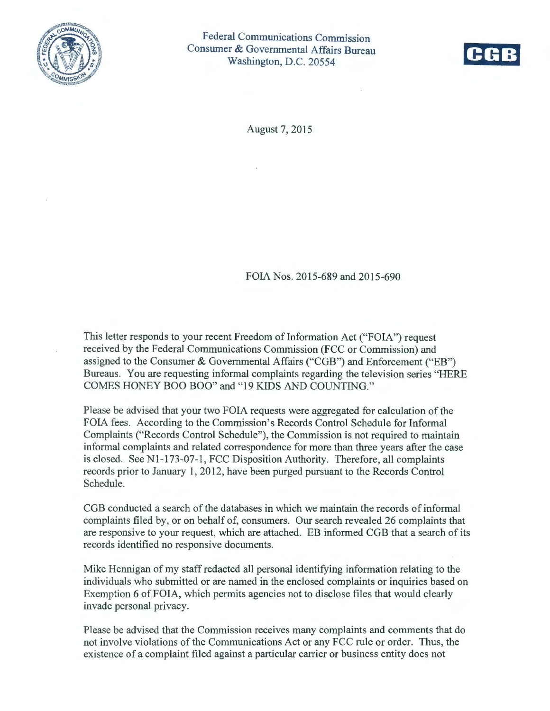



August 7, 2015

FOIA Nos. 2015-689 and 2015-690

This letter responds to your recent Freedom of Information Act ("FOIA") request received by the Federal Communications Commission (FCC or Commission) and assigned to the Conswner & Governmental Affairs ("CGB") and Enforcement ("EB") Bureaus. You are requesting informal complaints regarding the television series "HERE COMES HONEY BOO BOO" and "19 KIDS AND COUNTING."

Please be advised that your two FOIA requests were aggregated for calculation of the FOIA fees. According to the Commission's Records Control Schedule for Informal Complaints ("Records Control Schedule"), the Commission is not required to maintain informal complaints and related correspondence for more than three years after the case is closed. See Nl-173-07-1, FCC Disposition Authority. Therefore, all complaints records prior to January 1, 2012, have been purged pursuant to the Records Control Schedule.

CGB conducted a search of the databases in which we maintain the records of informal complaints filed by, or on behalf of, consumers. Our search revealed 26 complaints that are responsive to your request, which are attached. EB informed CGB that a search of its records identified no responsive documents.

Mike Hennigan of my staff redacted all personal identifying information relating to the individuals who submitted or are named in the enclosed complaints or inquiries based on Exemption 6 of FOIA, which permits agencies not to disclose files that would clearly invade personal privacy.

Please be advised that the Commission receives many complaints and comments that do not involve violations of the Communications Act or any FCC rule or order. Thus, the existence of a complaint filed against a particular carrier or business entity does not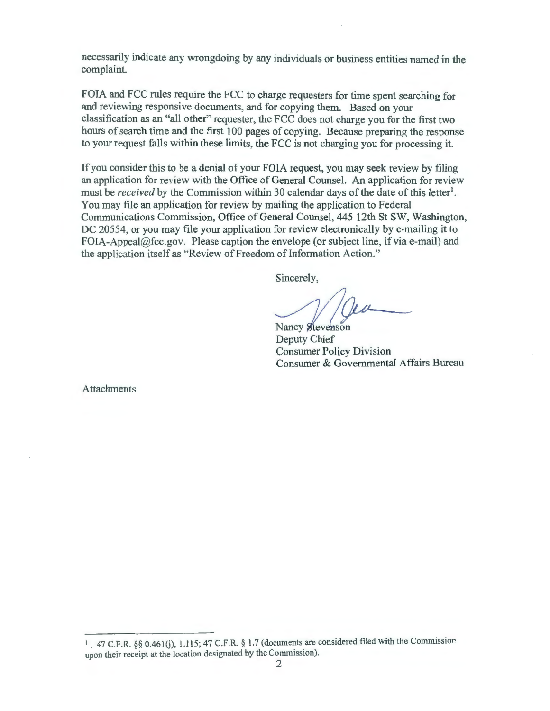necessarily indicate any wrongdoing by any individuals or business entities named in the complaint.

FOIA and FCC rules require the FCC to charge requesters for time spent searching for and reviewing responsive documents, and for copying them. Based on your classification as an "all other" requester, the FCC does not charge you for the first two hours of search time and the first 100 pages of copying. Because preparing the response to your request falls within these limits, the FCC is not charging you for processing it.

If you consider this to be a denial of your FOIA request, you may seek review by filing an application for review with the Office of General Counsel. An application for review must be *received* by the Commission within 30 calendar days of the date of this letter<sup>1</sup>. You may file an application for review by mailing the application to Federal Communications Commission, Office of General Counsel, 445 12th St SW, Washington, DC 20554, or you may file your application for review electronically by e-mailing it to FOIA-Appeal@fcc.gov. Please caption the envelope (or subject line, if via e-mail) and the application itself as "Review of Freedom of Information Action."

Sincerely,

Nancy Stevenson

Deputy Chief Consumer Policy Division Consumer & Governmental Affairs Bureau

Attachments

<sup>&</sup>lt;sup>1</sup>. 47 C.F.R. §§ 0.461(j), 1.115; 47 C.F.R. § 1.7 (documents are considered filed with the Commission upon their receipt at the location designated by the Commission).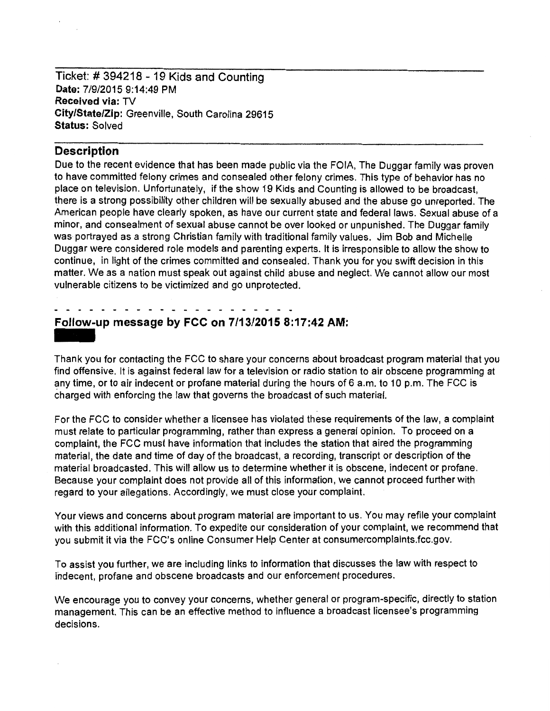Ticket: # 394218 - 19 Kids and Counting Date: 7/9/2015 9:14:49 PM Received via: TV City/State/Zip: Greenville, South Carolina 29615 Status: Solved

### **Description**

Due to the recent evidence that has been made public via the FOIA, The Duggar family was proven to have committed felony crimes and consealed other felony crimes. This type of behavior has no place on television. Unfortunately, if the show 19 Kids and Counting is allowed to be broadcast, there is a strong possibility other children will be sexually abused and the abuse go unreported. The American people have clearly spoken, as have our current state and federal laws. Sexual abuse of a minor, and consealment of sexual abuse cannot be over looked or unpunished. The Duggar family was portrayed as a strong Christian family with traditional family values. Jim Bob and Michelle Duggar were considered role models and parenting experts. It is irresponsible to allow the show to continue, in light of the crimes committed and consealed. Thank you for you swift decision in this matter. We as a nation must speak out against child abuse and neglect. We cannot allow our most vulnerable citizens to be victimized and go unprotected.

# Follow-up message by FCC on 7/13/2015 8:17:42 AM: -<br>**Foll**<br>Than

Thank you for contacting the FCC to share your concerns about broadcast program material that you find offensive. It is against federal law for a television or radio station to air obscene programming at any time, or to air indecent or profane material during the hours of 6 a.m. to 10 p.m. The FCC is charged with enforcing the law that governs the broadcast of such material.

For the FCC to consider whether a licensee has violated these requirements of the law, a complaint must relate to particular programming, rather than express a general opinion. To proceed on a complaint, the FCC must have information that includes the station that aired the programming material, the date and time of day of the broadcast, a recording, transcript or description of the material broadcasted. This will allow us to determine whether it is obscene, indecent or profane. Because your complaint does not provide all of this information, we cannot proceed further with regard to your allegations. Accordingly, we must close your complaint.

Your views and concerns about program material are important to us. You may refile your complaint with this additional information. To expedite our consideration of your complaint, we recommend that you submit it via the FCC's online Consumer Help Center at consumercomplaints.fcc.gov.

To assist you further, we are including links to information that discusses the law with respect to indecent, profane and obscene broadcasts and our enforcement procedures.

We encourage you to convey your concerns, whether general or program-specific, directly to station management. This can be an effective method to influence a broadcast licensee's programming decisions.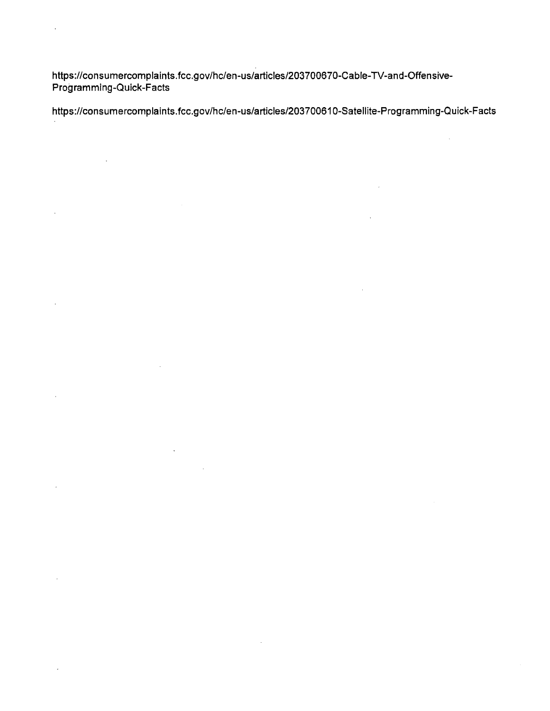https://consumercomplaints. fcc.gov/hc/en-us/articles/203700670-Cab le-TV-and-Offensive-Programming-Quick-Facts

 $\ddot{\phantom{a}}$ 

 $\ddot{\phantom{0}}$ 

 $\bar{z}$ 

 $\sim 10^7$ 

 $\bar{\epsilon}$ 

 $\sim$ 

https://consumercomplaints. fcc.gov/hc/en-us/articles/20370061 0-Satellite-Programming-Qu ick-F acts

 $\hat{\mathcal{A}}$ 

 $\sim$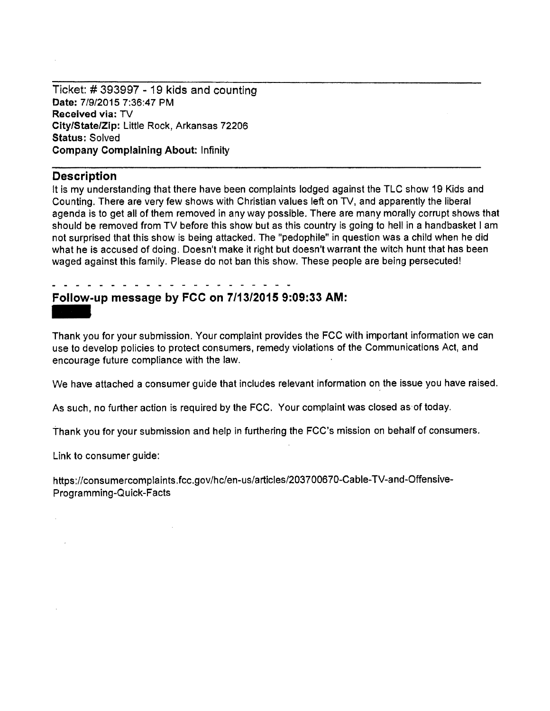Ticket: # 393997 - 19 kids and counting Date: 7/9/2015 7:36:47 PM Received via: TV City/State/Zip: Little Rock, Arkansas 72206 Status: Solved Company Complaining About: Infinity

## **Description**

It is my understanding that there have been complaints lodged against the TLC show 19 Kids and Counting. There are very few shows with Christian values left on TV, and apparently the liberal agenda is to get all of them removed in any way possible. There are many morally corrupt shows that should be removed from TV before this show but as this country is going to hell in a handbasket I am not surprised that this show is being attacked. The "pedophile" in question was a child when he did what he is accused of doing. Doesn't make it right but doesn't warrant the witch hunt that has been waged against this family. Please do not ban this show. These people are being persecuted!

## Follow·up message by FCC on 7/13/2015 9:09:33 AM:

Follow-up message by FCC on 7/13/2015 9:09:33 AM:<br>Thank you for your submission. Your complaint provides the FCC with important information we can use to develop policies to protect consumers, remedy violations of the Communications Act, and encourage future compliance with the law.

We have attached a consumer guide that includes relevant information on the issue you have raised.

As such, no further action is required by the FCC. Your complaint was closed as·of today.

Thank you for your submission and help in furthering the FCC's mission on behalf of consumers.

Link to consumer guide:

https://consumercomplaints.fcc.gov/hc/en-us/articles/203700670-Cable-TV-and-Offensive-Programming-Quick-Facts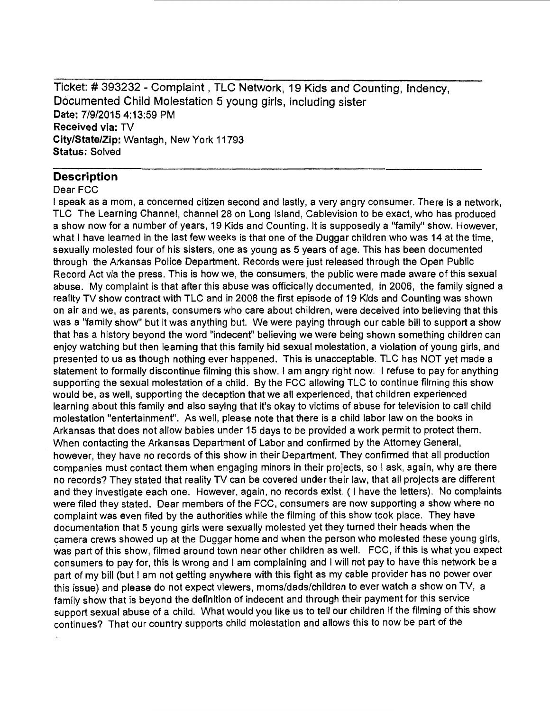Ticket:# 393232 - Complaint, TLC Network, 19 Kids and Counting, lndency, Documented Child Molestation 5 young girls, including sister **Date:** 7/9/2015 4:13:59 PM **Received via:** TV **City/State/Zip:** Wantagh, New York 11793 **Status:** Solved

### **Description**

#### Dear FCC

I speak as a mom, a concerned citizen second and lastly, a very angry consumer. There is a network, TLC The Learning Channel, channel 28 on Long Island, Cablevision to be exact, who has produced a show now for a number of years, 19 Kids and Counting. It is supposedly a "family" show. However, what I have learned in the last few weeks is that one of the Duggar children who was 14 at the time, sexually molested four of his sisters, one as young as 5 years of age. This has been documented through the Arkansas Police Department. Records were just released through the Open Public Record Act via the press. This is how we, the consumers, the public were made aware of this sexual abuse. My complaint is that after this abuse was officically documented, in 2006, the family signed a reality TV show contract with TLC and in 2008 the first episode of 19 Kids and Counting was shown on air and we, as parents, consumers who care about children, were deceived into believing that this was a "family show" but it was anything but. We were paying through our cable bill to support a show that has a history beyond the word "indecent" believing we were being shown something children can enjoy watching but then learning that this family hid sexual molestation, a violation of young girls, and presented to us as though nothing ever happened. This is unacceptable. TLC has NOT yet made a statement to formally discontinue filming this show. I am angry right now. I refuse to pay for anything supporting the sexual molestation of a child. By the FCC allowing TLC to continue filming this show would be, as well, supporting the deception that we all experienced, that children experienced learning about this family and also saying that it's okay to victims of abuse for television to call child molestation "entertainment". As well, please note that there is a child labor law on the books in Arkansas that does not allow babies under 15 days to be provided a work permit to protect them. When contacting the Arkansas Department of Labor and confirmed by the Attorney General, however, they have no records of this show in their Department. They confirmed that all production companies must contact them when engaging minors in their projects, so I ask, again, why are there no records? They stated that reality TV can be covered under their law, that all projects are different and they investigate each one. However, again, no records exist. (I have the letters). No complaints were filed they stated. Dear members of the FCC, consumers are now supporting a show where no complaint was even filed by the authorities while the filming of this show took place. They have documentation that 5 young girls were sexually molested yet they turned their heads when the camera crews showed up at the Duggar home and when the person who molested these young girls, was part of this show, filmed around town near other children as well. FCC, if this is what you expect consumers to pay for, this is wrong and I am complaining and I will not pay to have this network be a part of my bill (but I am not getting anywhere with this fight as my cable provider has no power over this issue) and please do not expect viewers, moms/dads/children to ever watch a show on TV, a family show that is beyond the definition of indecent and through their payment for this service support sexual abuse of a child. What would you like us to tell our children if the filming of this show continues? That our country supports child molestation and allows this to now be part of the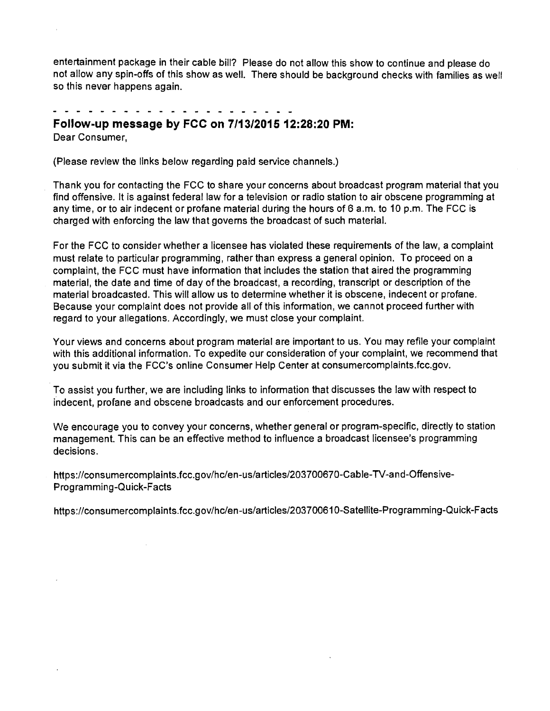entertainment package in their cable bill? Please do not allow this show to continue and please do not allow any spin-offs of this show as well. There should be background checks with families as well so this never happens again.

. . . . . . . . . . .

## **Follow-up message by FCC on 7/13/2015 12:28:20 PM:**

Dear Consumer,

(Please review the links below regarding paid service channels.)

Thank you for contacting the FCC to share your concerns about broadcast program material that you find offensive. It is against federal law for a television or radio station to air obscene programming at any time, or to air indecent or profane material during the hours of 6 a.m. to 10 p.m. The FCC is charged with enforcing the law that governs the broadcast of such material.

For the FCC to consider whether a licensee has violated these requirements of the law, a complaint must relate to particular programming, rather than express a general opinion. To proceed on a complaint, the FCC must have information that includes the station that aired the programming material, the date and time of day of the broadcast, a recording, transcript or description of the material broadcasted. This will allow us to determine whether it is obscene, indecent or profane. Because your complaint does not provide all of this information, we cannot proceed further with regard to your allegations. Accordingly, we must close your complaint.

Your views and concerns about program material are important to us. You may refile your complaint with this additional information. To expedite our consideration of your complaint, we recommend that you submit it via the FCC's online Consumer Help Center at consumercomplaints.fcc.gov.

To assist you further, we are including links to information that discusses the law with respect to indecent, profane and obscene broadcasts and our enforcement procedures.

We encourage you to convey your concerns, whether general or program-specific, directly to station management. This can be an effective method to influence a broadcast licensee's programming decisions.

https://consumercomplaints.fcc.gov/hc/en-us/articles/203700670-Cable-TV-and-Offensive-Programming-Quick-Facts

 $\mathcal{L}_{\mathrm{in}}$ 

https://consumercomplaints.fcc.gov/hc/en-us/articles/203700610-Satellite-Programming-Quick-Facts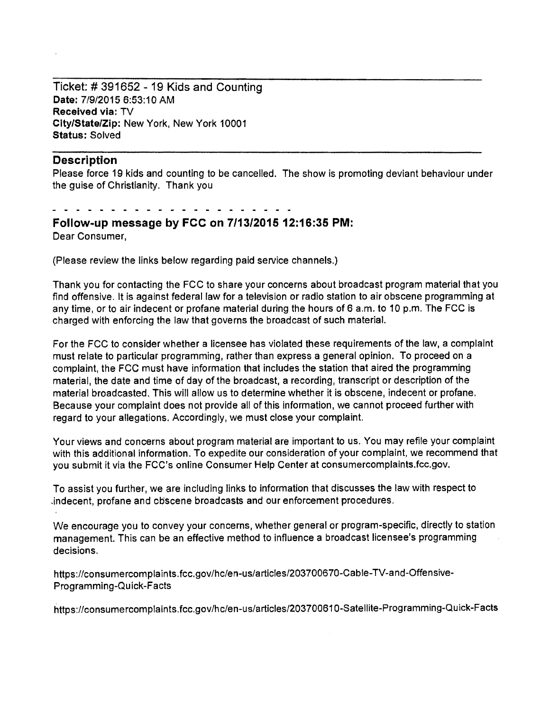Ticket:# 391652 - 19 Kids and Counting Date: 7/9/2015 6:53:10 AM Received via: TV City/State/Zip: New York, New York 10001 Status: Solved

#### **Description**

Please force 19 kids and counting to be cancelled. The show is promoting deviant behaviour under the guise of Christianity. Thank you

## Follow-up message by FCC on 7/13/2015 12:16:35 PM: Dear Consumer,

(Please review the links below regarding paid service channels.)

Thank you for contacting the FCC to share your concerns about broadcast program material that you find offensive. It is against federal law for a television or radio station to air obscene programming at any time, or to air indecent or profane material during the hours of 6 a.m. to 10 p.m. The FCC is charged with enforcing the law that governs the broadcast of such material.

For the FCC to consider whether a licensee has violated these requirements of the law, a complaint must relate to particular programming, rather than express a general opinion. To proceed on a complaint, the FCC must have information that includes the station that aired the programming material, the date and time of day of the broadcast, a recording, transcript or description of the material broadcasted. This will allow us to determine whether it is obscene, indecent or profane. Because your complaint does not provide all of this information, we cannot proceed further with regard to your allegations. Accordingly, we must close your complaint.

Your views and concerns about program material are important to us. You may refile your complaint with this additional information. To expedite our consideration of your complaint, we recommend that you submit it via the FCC's online Consumer Help Center at consumercomplaints.fcc.gov.

To assist you further, we are including links to information that discusses the law with respect to .indecent, profane and obscene broadcasts and our enforcement procedures.

We encourage you to convey your concerns, whether general or program-specific, directly to station management. This can be an effective method to influence a broadcast licensee's programming decisions.

https://consumercomplaints.fcc.gov/hc/en-us/articles/203700670-Cable-TV-and-Offensive-Programming-Quick-Facts

tittps://consumercomplaints.fcc.gov/hc/en-us/articles/203700610-Satellite-Programming-Quick-Facts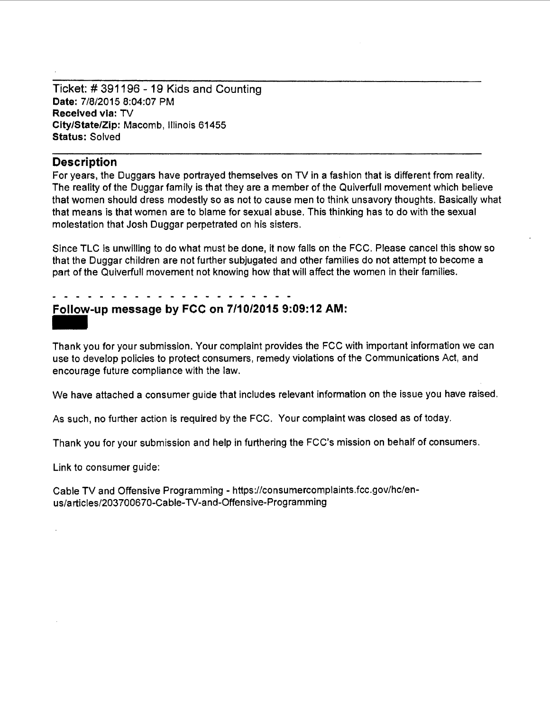Ticket:# 391196 - 19 Kids and Counting Date: 7/8/2015 8:04:07 PM Received via: TV City/State/Zip: Macomb, Illinois 61455 Status: Solved

## **Description**

For years, the Duggars have portrayed themselves on TV in a fashion that is different from reality. The reality of the Duggar family is that they are a member of the Quiverfull movement which believe that women should dress modestly so as not to cause men to think unsavory thoughts. Basically what that means is that women are to blame for sexual abuse. This thinking has to do with the sexual molestation that Josh Duggar perpetrated on his sisters.

Since TLC is unwilling to do what must be done, it now falls on the FCC. Please cancel this show so that the Duggar children are not further subjugated and other families do not attempt to become a part of the Quiverfull movement not knowing how that will affect the women in their families.

# Follow-up message by FCC on 7/10/2015 9:09:12 AM: -<br>Foll<br>Thar

Thank you for your submission. Your complaint provides the FCC with important information we can use to develop policies to protect consumers, remedy violations of the Communications Act, and encourage future compliance with the law.

We have attached a consumer guide that includes relevant information on the issue you have raised.

As such, no further action is required by the FCC. Your complaint was closed as of today.

Thank you for your submission and help in furthering the FCC's mission on behalf of consumers.

Link to consumer guide:

Cable TV and Offensive Programming - https://consumercomplaints.fcc.gov/hc/enus/articles/203700670-Cable-TV-and-Offensive-Programming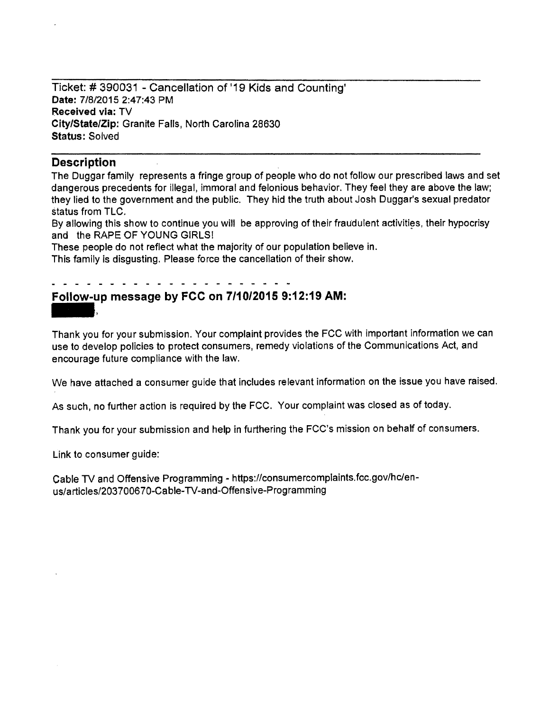Ticket:# 390031 - Cancellation of '19 Kids and Counting' Date: 7/8/2015 2:47:43 PM Received via: TV City/State/Zip: Granite Falls, North Carolina 28630 Status: Solved

## **Description**

The Duggar family represents a fringe group of people who do not follow our prescribed laws and set dangerous precedents for illegal, immoral and felonious behavior. They feel they are above the law; they lied to the government and the public. They hid the truth about Josh Duggar's sexual predator status from TLC.

By allowing this show to continue you will be approving of their fraudulent activities, their hypocrisy and the RAPE OF YOUNG GIRLS!

These people do not reflect what the majority of our population believe in.

This family is disgusting. Please force the cancellation of their show.

## Follow-up message by FCC on 7/10/2015 9:12:19 AM:

Thank you for your submission. Your complaint provides the FCC with important information we can use to develop policies to protect consumers, remedy violations of the Communications Act, and encourage future compliance with the law.

We have attached a consumer guide that includes relevant information on the issue you have raised.

As such, no further action is required by the FCC. Your complaint was closed as of today.

Thank you for your submission and help in furthering the FCC's mission on behalf of consumers.

Link to consumer guide:

Cable TV and Offensive Programming - https://consumercomplaints.fcc.gov/hc/enus/articles/203700670-Cable-TV-and-Offensive-Programming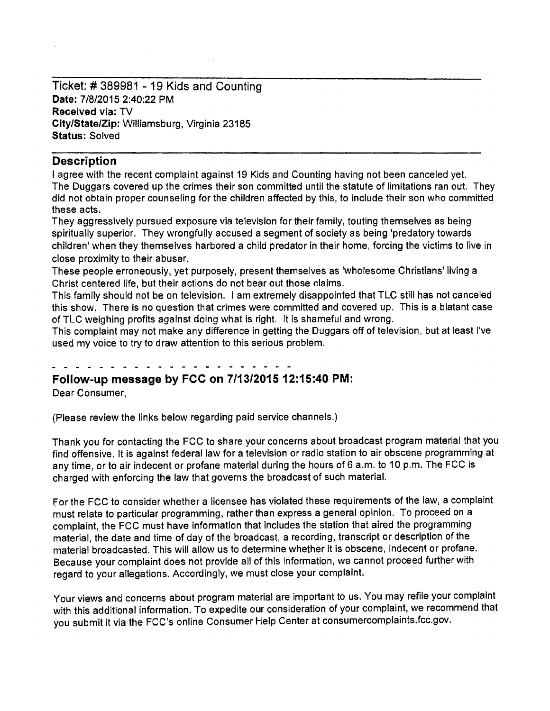Ticket:# 389981 - 19 Kids and Counting **Date:** 7/8/2015 2:40:22 PM **Received via:** TV **City/State/Zip:** Williamsburg, Virginia 23185 **Status: Solved** 

## **Description**

I agree with the recent complaint against 19 Kids and Counting having not been canceled yet. The Duggars covered up the crimes their son committed until the statute of limitations ran out. They did not obtain proper counseling for the children affected by this, to include their son who committed these acts.

They aggressively pursued exposure via television for their family, touting themselves as being spiritually superior. They wrongfully accused a segment of society as being 'predatory towards children' when they themselves harbored a child predator in their home, forcing the victims to live in close proximity to their abuser.

These people erroneously, yet purposely, present themselves as 'wholesome Christians' living a Christ centered life, but their actions do not bear out those claims.

This family should not be on television. I am extremely disappointed that TLC still has not canceled this show. There is no question that crimes were committed and covered up. This is a blatant case of TLC weighing profits against doing what is right. It is shameful and wrong.

This complaint may not make any difference in getting the Duggars off of television, but at least I've used my voice to try to draw attention to this serious problem.

## **Follow-up message by FCC on 7/13/2015 12:15:40 PM:**

Dear Consumer,

{Please review the links below regarding paid service channels.)

Thank you for contacting the FCC to share your concerns about broadcast program material that you find offensive. It is against federal law for a television or radio station to air obscene programming at any time, or to air indecent or profane material during the hours of 6 a.m. to 10 p.m. The FCC is charged with enforcing the law that governs the broadcast of such material.

For the FCC to consider whether a licensee has violated these requirements of the law, a complaint must relate to particular programming, rather than express a general opinion. To proceed on a complaint, the FCC must have information that includes the station that aired the programming material, the date and time of day of the broadcast, a recording, transcript or description of the material broadcasted. This will allow us to determine whether it is obscene, indecent or profane. Because your complaint does not provide all of this information, we cannot proceed further with regard to your allegations. Accordingly, we must close your complaint.

Your views and concerns about program material are important to us. You may refile your complaint with this additional information. To expedite our consideration of your complaint, we recommend that you submit it via the FCC's online Consumer Help Center at consumercomplaints.fcc.gov.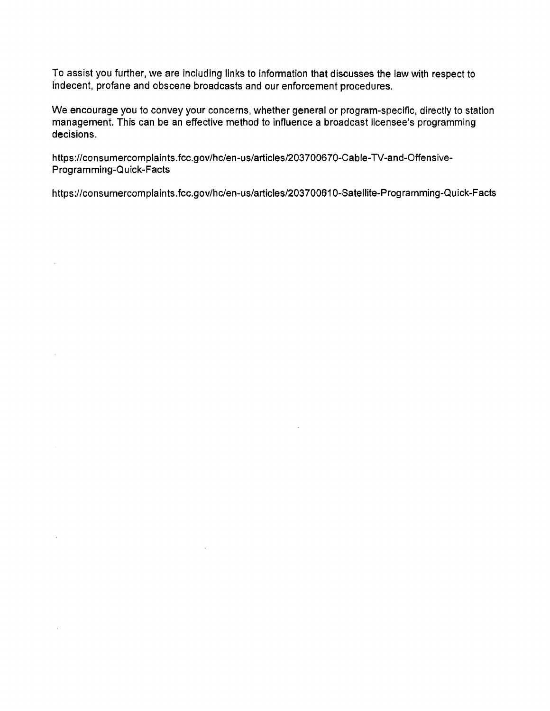To assist you further, we are including links to information that discusses the law with respect to indecent, profane and obscene broadcasts and our enforcement procedures.

We encourage you to convey your concerns, whether general or program-specific, directly to station management. This can be an effective method to influence a broadcast licensee's programming decisions.

https://consumercomplaints.fcc.gov/hc/en-us/articles/203700670-Cable-TV-and-Offensive-Programming-Quick-Facts

https://consumercomplaints.fcc.gov/hc/en-us/articles/203700610-Satellite-Programming-Quick-Facts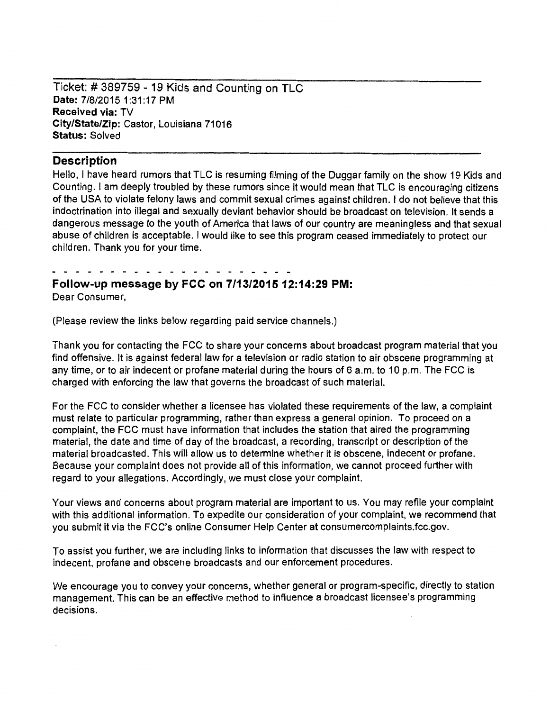Ticket: # 389759 - 19 Kids and Counting on TLC Date: 7/8/2015 1:31:17 PM **Received via:** TV **City/State/Zip:** Castor, Louisiana 71016 **Status:** Solved

## **Description**

Hello, I have heard rumors that TLC is resuming filming of the Duggar family on the show 19 Kids and Counting. I am deeply troubled by these rumors since it would mean that TLC is encouraging citizens of the USA to violate felony laws and commit sexual crimes against children. I do not believe that this indoctrination into illegal and sexually deviant behavior should be broadcast on television. It sends a dangerous message to the youth of America that laws of our country are meaningless and that sexual abuse of children is acceptable. I would like to see this program ceased immediately to protect our children. Thank you for your time.

**Follow-up message by FCC on 7/13/2015 12:14:29 PM:**  Dear Consumer,

(Please review the finks below regarding paid service channels.)

Thank you for contacting the FCC to share your concerns about broadcast program material that you find offensive. It is against federal law for a television or radio station to air obscene programming at any time, or to air indecent or profane material during the hours of 6 a.m. to 10 p.m. The FCC is charged with enforcing the law that governs the broadcast of such material.

For the FCC to consider whether a licensee has violated these requirements of the law, a complaint must relate to particular programming, rather than express a general opinion. To proceed on a complaint, the FCC must have information that includes the station that aired the programming material, the date and time of day of the broadcast, a recording, transcript or description of the material broadcasted. This will allow us to determine whether it is obscene, indecent or profane. Because your complaint does not provide all of this information, we cannot proceed further with regard to your allegations. Accordingly, we must close your complaint.

Your views and concerns about program material are important to us. You may refile your complaint with this additional information. To expedite our consideration of your complaint, we recommend that you submit it via the FCC's online Consumer Help Center at consumercomplaints.fcc.gov.

To assist you further, we are including links to information that discusses the law with respect to indecent, profane and obscene broadcasts and our enforcement procedures.

We encourage you to convey your concerns, whether general or program-specific, directly to station management. This can be an effective method to influence a broadcast licensee's programming decisions.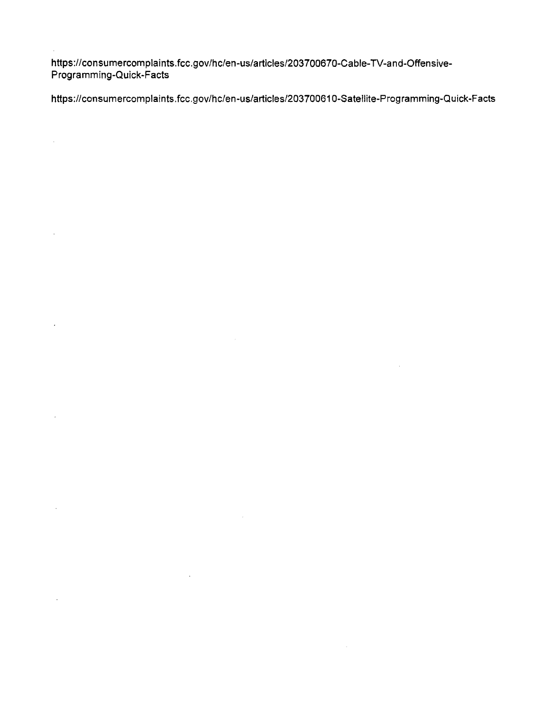https://consumercomplaints.fcc.gov/hc/en-us/articles/203700670-Cable-TV-and-Offensive-Programming-Quick-Facts

 $\hat{\mathcal{A}}$ 

 $\hat{\mathcal{L}}$ 

 $\ddot{\phantom{a}}$ 

https://consumercomplaints.fcc.gov/hc/en-us/articles/203700610-Satellite-Programming-Quick-Facts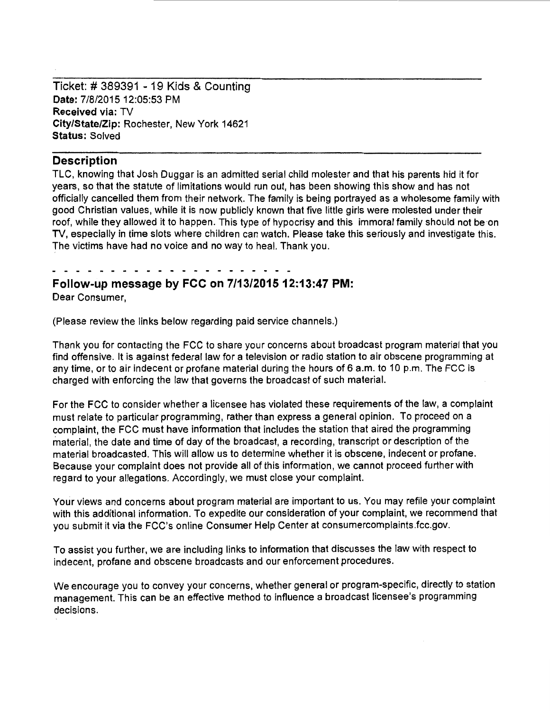Ticket: # 389391 - 19 Kids & Counting Date: 7/8/2015 12:05:53 PM Received via: TV City/State/Zip: Rochester, New York 14621 Status: Solved

### **Description**

TLC, knowing that Josh Duggar is an admitted serial child molester and that his parents hid it for years, so that the statute of limitations would run out, has been showing this show and has not officially cancelled them from their network. The family is being portrayed as a wholesome family with good Christian values, while it is now publicly known that five little girls were molested under their roof, while they allowed it to happen. This type of hypocrisy and this immoral family should not be on TV, especially in time slots where children can watch. Please take this seriously and investigate this. The victims have had no voice and no way to heal. Thank you.

## Follow-up message by FCC on 7/13/2015 12:13:47 PM: Dear Consumer,

(Please review the links below regarding paid service channels.)

Thank you for contacting the FCC to share your concerns about broadcast program material that you find offensive. It is against federal law for a television or radio station to air obscene programming at any time, or to air indecent or profane material during the hours of 6 a.m. to 10 p.m. The FCC is charged with enforcing the law that governs the broadcast of such material.

For the FCC to consider whether a licensee has violated these requirements of the law, a complaint must relate to particular programming, rather than express a general opinion. To proceed on a complaint, the FCC must have information that includes the station that aired the programming material, the date and time of day of the broadcast, a recording, transcript or description of the material broadcasted. This will allow us to determine whether it is obscene, indecent or profane. Because your complaint does not provide all of this information, we cannot proceed further with regard to your allegations. Accordingly, we must close your complaint.

Your views and concerns about program material are important to us. You may refile your complaint with this additional information. To expedite our consideration of your complaint, we recommend that you submit it via the FCC's online Consumer Help Center at consumercomplaints.fcc.gov.

To assist you further, we are including links to information that discusses the law with respect to indecent, profane and obscene broadcasts and our enforcement procedures.

We encourage you to convey your concerns, whether general or program-specific, directly to station management. This can be an effective method to influence a broadcast licensee's programming decisions.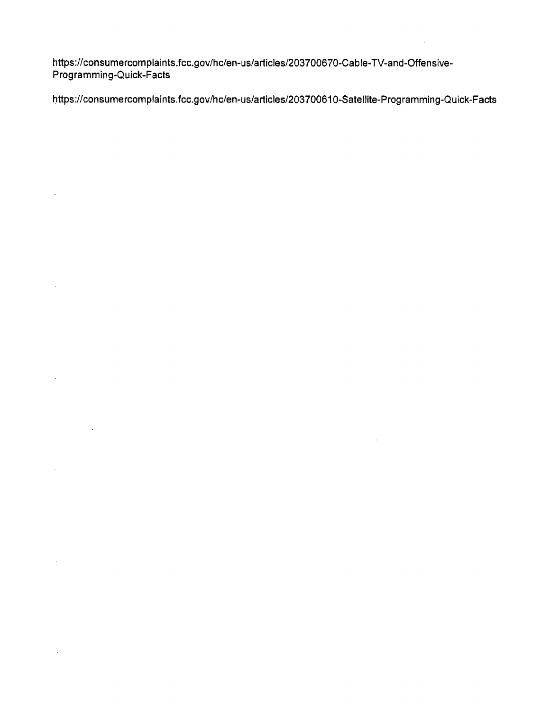https://consumercomplaints.fcc.gov/hc/en-us/articles/203700670-Cable-TV-and-Offensive-Programming-Quick-Facts

 $\bar{\mathcal{A}}$ 

 $\bar{L}$ 

 $\mathbf{r}$ 

l)ttps:!/consumercomplaints.fcc.gov/hc/en-us/articles/203700610-Satellite-Programming-Quick-Facts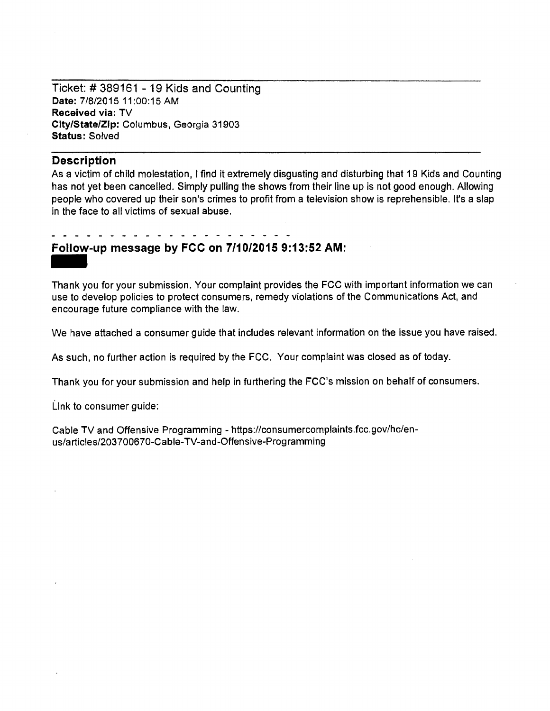Ticket:# 389161 - 19 Kids and Counting Date: 7/8/2015 11:00:15 AM Received via: TV City/State/Zip: Columbus, Georgia 31903 Status: Solved

### **Description**

As a victim of child molestation, I find it extremely disgusting and disturbing that 19 Kids and Counting has not yet been cancelled. Simply pulling the shows from their line up is not good enough. Allowing people who covered up their son's crimes to profit from a television show is reprehensible. It's a slap in the face to all victims of sexual abuse.

## Follow-up message by FCC on 7/10/2015 9:13:52 AM:

Follow-up message by FCC on 7/10/2015 9:13:52 AM:<br>Thank you for your submission. Your complaint provides the FCC with important information we can use to develop policies to protect consumers, remedy violations of the Communications Act, and encourage future compliance with the law.

We have attached a consumer guide that includes relevant information on the issue you have raised.

As such, no further action is required by the FCC. Your complaint was closed as of today.

Thank you for your submission and help in furthering the FCC's mission on behalf of consumers.

Link to consumer guide:

Cable TV and Offensive Programming - https://consumercomplaints.fcc.gov/hc/enus/articles/203700670-Cable-TV-and-Offensive-Programming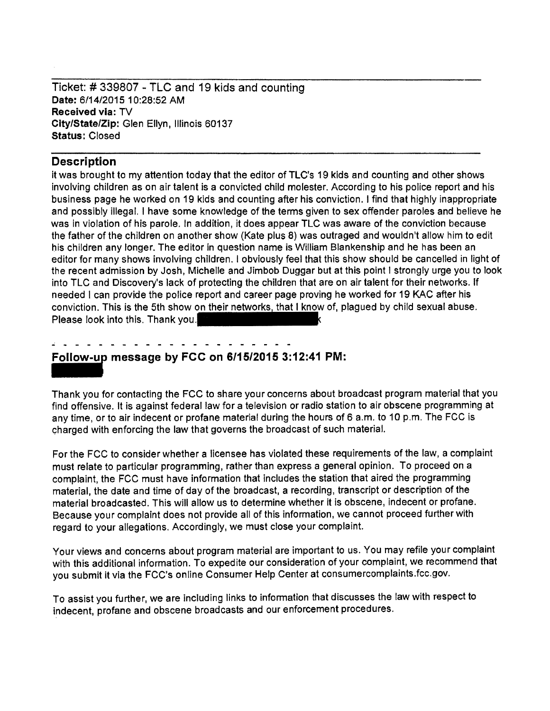Ticket: # 339807 - TLC and 19 kids and counting Date: 611412015 10:28:52 AM Received via: TV City/State/Zip: Glen Ellyn, Illinois 60137 Status: Closed

## Description

it was brought to my attention today that the editor of TLC's 19 kids and counting and other shows involving children as on air talent is a convicted child molester. According to his police report and his business page he worked on 19 kids and counting after his conviction. I find that highly inappropriate and possibly illegal. I have some knowledge of the terms given to sex offender paroles and believe he was in violation of his parole. In addition, it does appear TLC was aware of the conviction because the father of the children on another show (Kate plus 8) was outraged and wouldn't allow him to edit his children any longer. The editor in question name is William Blankenship and he has been an editor for many shows involving children. I obviously feel that this show should be cancelled in light of the recent admission by Josh, Michelle and Jimbob Duggar but at this point I strongly urge you to look into TLC and Discovery's lack of protecting the children that are on air talent for their networks. If needed I can provide the police report and career page proving he worked for 19 KAC after his conviction. This is the 5th show on their networks, that I know of, plagued by child sexual abuse. Please look into this. Thank you.

Follow-up message by FCC on  $6/15/2015$  3:12:41 PM:

Thank you for contacting the FCC to share your concerns about broadcast program material that you find offensive. It is against federal law for a television or radio station to air obscene programming at any time, or to air indecent or profane material during the hours of 6 a.m. to 10 p.m. The FCC is charged with enforcing the law that governs the broadcast of such material.

For the FCC to consider whether a licensee has violated these requirements of the law, a complaint must relate to particular programming, rather than express a general opinion. To proceed on a complaint, the FCC must have information that includes the station that aired the programming material, the date and time of day of the broadcast, a recording, transcript or description of the material broadcasted. This will allow us to determine whether it is obscene, indecent or profane. Because your complaint does not provide all of this information, we cannot proceed further with regard to your allegations. Accordingly, we must close your complaint.

Your views and concerns about program material are important to us. You may refile your complaint with this additional information. To expedite our consideration of your complaint, we recommend that you submit it via the FCC's on line Consumer Help Center at consumercomplaints.fcc.gov.

To assist you further, we are including links to information that discusses the law with respect to indecent, profane and obscene broadcasts and our enforcement procedures.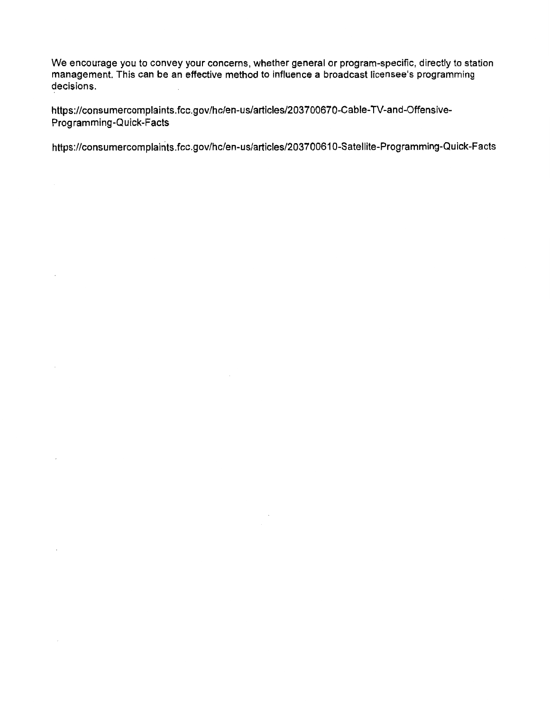We encourage you to convey your concerns, whether general or program-specific, directly to station management. This can be an effective method to influence a broadcast licensee's programming decisions.

https://consumercomplaints.fcc.gov/hc/en-us/articles/203700670-Cable-TV-and-Offenslve-Programming-Quick-Facts

https://consumercomplaints.fcc.gov/hc/en-us/articles/203700610-Satellite-Programming-Quick-Facts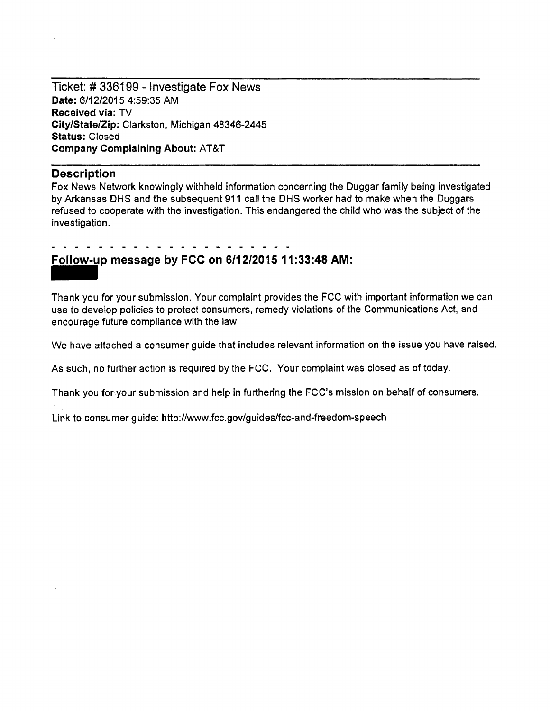Ticket:# 336199 - Investigate Fox News Date: 6/12/2015 4:59:35 AM Received via: TV City/State/Zip: Clarkston, Michigan 48346-2445 Status: Closed Company Complaining About: AT&T

## **Description**

Fox News Network knowingly withheld information concerning the Duggar family being investigated by Arkansas OHS and the subsequent 911 call the OHS worker had to make when the Duggars refused to cooperate with the investigation. This endangered the child who was the subject of the investigation.

## Follow-up message by FCC on 6/12/2015 11:33:48 AM:

-<br>Foll<br>Thar Thank you for your submission. Your complaint provides the FCC with important information we can use to develop policies to protect consumers, remedy violations of the Communications Act, and encourage future compliance with the law.

We have attached a consumer guide that includes relevant information on the issue you have raised.

As such, no further action is required by the FCC. Your complaint was closed as of today.

Thank you for your submission and help in furthering the FCC's mission on behalf of consumers.

Link to consumer guide: http://www.fcc.gov/guides/fcc-and-freedom-speech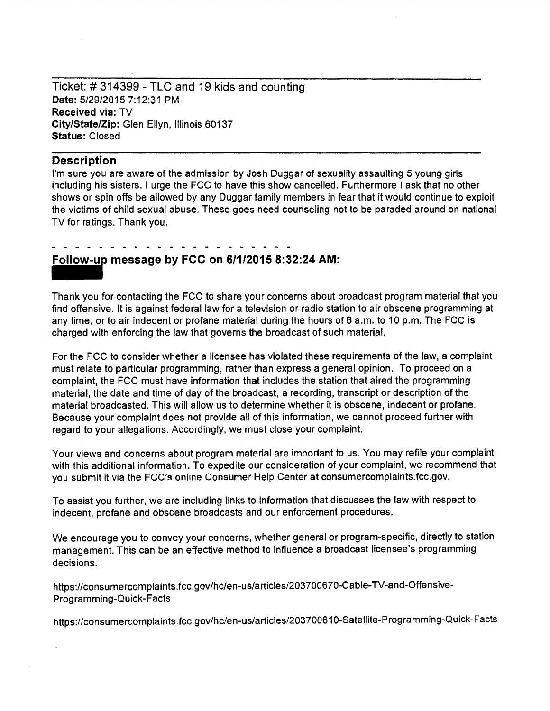Ticket:# 314399 - TLC and 19 kids and counting Date: 5/29/2015 7:12:31 PM Received via: TV City/State/Zip: Glen Ellyn, Illinois 60137 Status: Closed

#### **Description**

I'm sure you are aware of the admission by Josh Duggar of sexuality assaulting 5 young girls including his sisters. I urge the FCC to have this show cancelled. Furthermore I ask that no other shows or spin offs be allowed by any Duggar family members in fear that it would continue to exploit the victims of child sexual abuse. These goes need counseling not to be paraded around on national TV for ratings. Thank you.

## **liliii message by FCC on 6/1/2016 8:32:24 AM:**

Thank you for contacting the FCC to share your concerns about broadcast program material that you find offensive. It is against federal law for a television or radio station to air obscene programming at any time, or to air indecent or profane material during the hours of 6 a.m. to 10 p.m. The FCC is charged with enforcing the law that governs the broadcast of such material.

For the FCC to consider whether a licensee has violated these requirements of the law, a complaint must relate to particular programming, rather than express a general opinion. To proceed on a complaint, the FCC must have information that includes the station that aired the programming material, the date and time of day of the broadcast, a recording, transcript or description of the material broadcasted. This will allow us to determine whether it is obscene, indecent or profane. Because your complaint does not provide all of this information, we cannot proceed further with regard to your allegations. Accordingly, we must close your complaint.

Your views and concerns about program material are important to us. You may refile your complaint with this additional information. To expedite our consideration of your complaint, we recommend that you submit it via the FCC's online Consumer Help Center at consumercomplaints.fcc.gov.

To assist you further, we are including links to information that discusses the law with respect to indecent, profane and obscene broadcasts and our enforcement procedures.

We encourage you to convey your concerns, whether general or program-specific, directly to station management. This can be an effective method to influence a broadcast licensee's programming decisions.

https://consumercomplaints.fcc.gov/hc/en-us/articles/203700670-Cable-TV-and-Offensive-Programming-Quick-Facts

https://consumercomplaints.fcc.gov/hc/en-us/articles/203700610-Satellite-Programming-Quick-Facts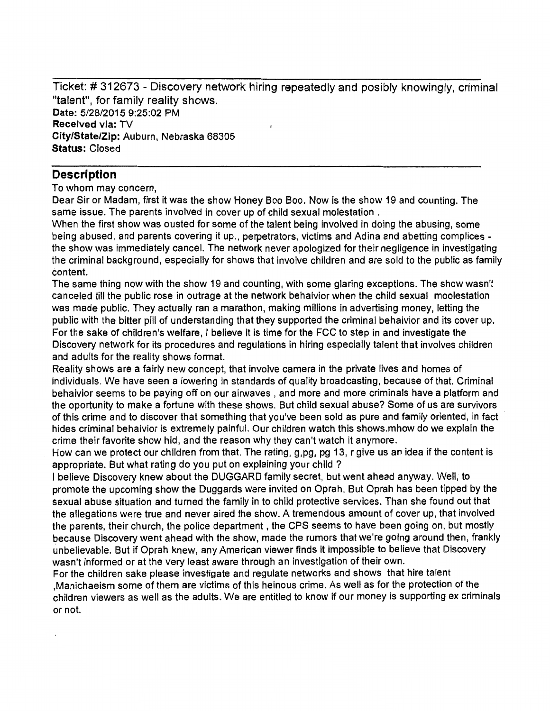Ticket: # 312673 - Discovery network hiring repeatedly and posibly knowingly, criminal "talent", for family reality shows. Date: 5/28/2015 9:25:02 PM Received via: TV City/State/Zip: Auburn, Nebraska 68305 Status: Closed

## **Description**

To whom may concern,

Dear Sir or Madam, first it was the show Honey Boo Boo. Now is the show 19 and counting. The same issue. The parents involved in cover up of child sexual molestation .

When the first show was ousted for some of the talent being involved in doing the abusing, some being abused, and parents covering it up., perpetrators, victims and Adina and abetting complices the show was immediately cancel. The network never apologized for their negligence in investigating the criminal background, especially for shows that involve children and are sold to the public as family content.

The same thing now with the show 19 and counting, with some glaring exceptions. The show wasn't canceled till the public rose in outrage at the network behaivior when the child sexual moolestation was made public. They actually ran a marathon, making millions in advertising money, letting the public with the bitter pill of understanding that they supported the criminal behaivior and its cover up. For the sake of children's welfare, I believe it is time for the FCC to step in and investigate the Discovery network for its procedures and regulations in hiring especially talent that involves children and adults for the reality shows format.

Reality shows are a fairly new concept, that involve camera in the private lives and homes of individuals. We have seen a lowering in standards of quality broadcasting, because of that. Criminal behaivior seems to be paying off on our airwaves , and more and more criminals have a platform and the oportunity to make a fortune with these shows. But child sexual abuse? Some of us are survivors of this crime and to discover that something that you've been sold as pure and family oriented, in fact · hides criminal behaivior is extremely painful. Our children watch this shows.mhow do we explain the crime their favorite show hid, and the reason why they can't watch it anymore.

How can we protect our children from that. The rating, g,pg, pg 13, r give us an idea if the content is appropriate. But what rating do you put on explaining your child ?

J believe Discovery knew about the DUGGARD family secret, but went ahead anyway. Well, to promote the upcoming show the Duggards were invited on Oprah. But Oprah has been tipped by the sexual abuse situation and turned the family in to child protective services. Than she found out that the allegations were true and never aired the show. A tremendous amount of cover up, that involved the parents, their church, the police department, the CPS seems to have been going on, but mostly because Discovery went ahead with the show, made the rumors that we're going around then, frankly unbelievable. But if Oprah knew, any American viewer finds it impossible to believe that Discovery wasn't informed or at the very least aware through an investigation of their own.

For the children sake please investigate and regulate networks and shows that hire talent ,Manichaeism some of them are victims of this heinous crime. As well as for the protection of the children viewers as well as the adults. We are entitled to know if our money is supporting ex criminals or not.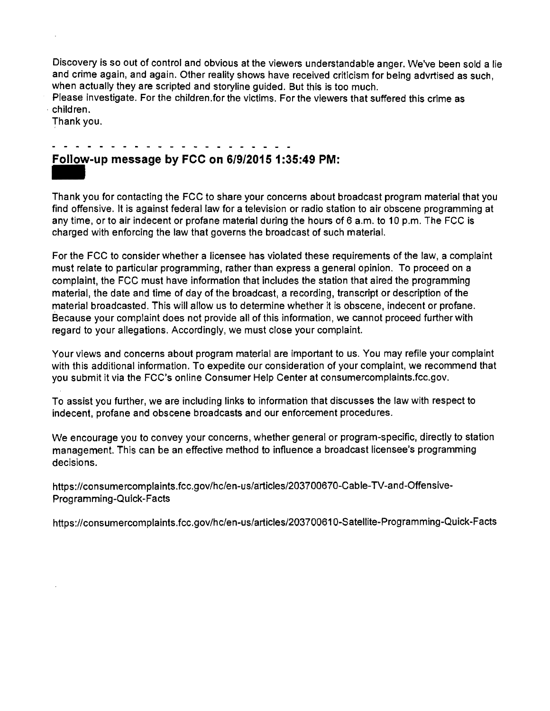Discovery is so out of control and obvious at the viewers understandable anger. We've been sold a lie and crime again, and again. Other reality shows have received criticism for being advrtised as such, when actually they are scripted and storyline guided. But this is too much.

Please investigate. For the children.for the victims. For the viewers that suffered this crime as ·children.

Thank you.

## **Follow-up message by FCC on 6/9/20151:35:49 PM:**

Follow-up message by FCC on 6/9/2015 1:35:49 PM:<br>Thank you for contacting the FCC to share your concerns about broadcast program material that you find offensive. It is against federal law for a television or radio station to air obscene programming at any time, or to air indecent or profane material during the hours of  $6$  a.m. to 10 p.m. The FCC is charged with enforcing the law that governs the broadcast of such material.

For the FCC to consider whether a licensee has violated these requirements of the law, a complaint must relate to particular programming, rather than express a general opinion. To proceed on a complaint, the FCC must have information that includes the station that aired the programming material, the date and time of day of the broadcast, a recording, transcript or description of the material broadcasted. This will allow us to determine whether it is obscene, indecent or profane. Because your complaint does not provide all of this information, we cannot proceed further with regard to your allegations. Accordingly, we must close your complaint.

Your views and concerns about program material are important to us. You may refile your complaint with this additional information. To expedite our consideration of your complaint, we recommend that you submit it via the FCC's online Consumer Help Center at consumercomplaints.fcc.gov.

To assist you further, we are including links to information that discusses the law with respect to indecent, profane and obscene broadcasts and our enforcement procedures.

We encourage you to convey your concerns, whether general or program-specific, directly to station management. This can be an effective method to influence a broadcast licensee's programming decisions.

https://consumercomplaints.fcc.gov/hc/en-us/articles/203700670-Cable-TV-and-Offensive-Programming-Quick-Facts

https://consumercomplaints.fcc.gov/hc/en-us/articles/203700610-Satellite-Programming-Quick-Facts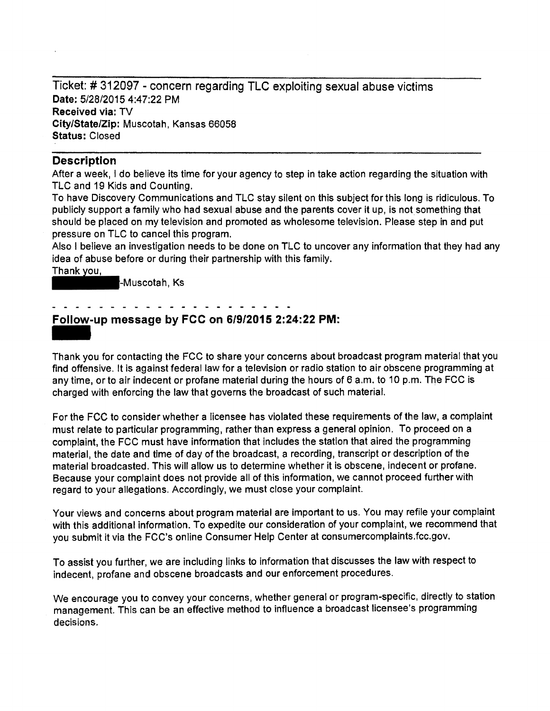Ticket:# 312097 - concern regarding TLC exploiting sexual abuse victims Date: 5/28/2015 4:47:22 PM Received via: TV City/State/Zip: Muscotah, Kansas 66058 Status: Closed

## **Description**

After a week, I do believe its time for your agency to step in take action regarding the situation with TLC and 19 Kids and Counting.

To have Discovery Communications and TLC stay silent on this subject for this long is ridiculous. To publicly support a family who had sexual abuse and the parents cover it up, is not something that should be placed on my television and promoted as wholesome television. Please step in and put

pressure on TLC to cancel this program.<br>Also I believe an investigation needs to b<br>idea of abuse before or during their partn<br>Thank you,<br>--Muscotah, Ks Also I believe an investigation needs to be done on TLC to uncover any information that they had any idea of abuse before or during their partnership with this family.

Thank you,<br>F-Muscotah, Ks

## Follow-up message by FCC on 6/9/2015 2:24:22 PM:

-<br>Foll<br>Thar Thank you for contacting the FCC to share your concerns about broadcast program material that you find offensive. It is against federal law for a television or radio station to air obscene programming at any time, or to air indecent or profane material during the hours of 6 a.m. to 10 p.m. The FCC is charged with enforcing the law that governs the broadcast of such material.

For the FCC to consider whether a licensee has violated these requirements of the law, a complaint must relate to particular programming, rather than express a general opinion. To proceed on a complaint, the FCC must have information that includes the station that aired the programming material, the date and time of day of the broadcast, a recording, transcript or description of the material broadcasted. This will allow us to determine whether it is obscene, indecent or profane. Because your complaint does not provide all of this information, we cannot proceed further with regard to your allegations. Accordingly, we must close your complaint.

Your views and concerns about program material are important to us. You may refile your complaint with this additional information. To expedite our consideration of your complaint, we recommend that you submit it via the FCC's online Consumer Help Center at consumercomplaints.fcc.gov.

To assist you further, we are including links to information that discusses the law with respect to indecent, profane and obscene broadcasts and our enforcement procedures.

We encourage you to convey your concerns, whether general or program-specific, directly to station management. This can be an effective method to influence a broadcast licensee's programming decisions.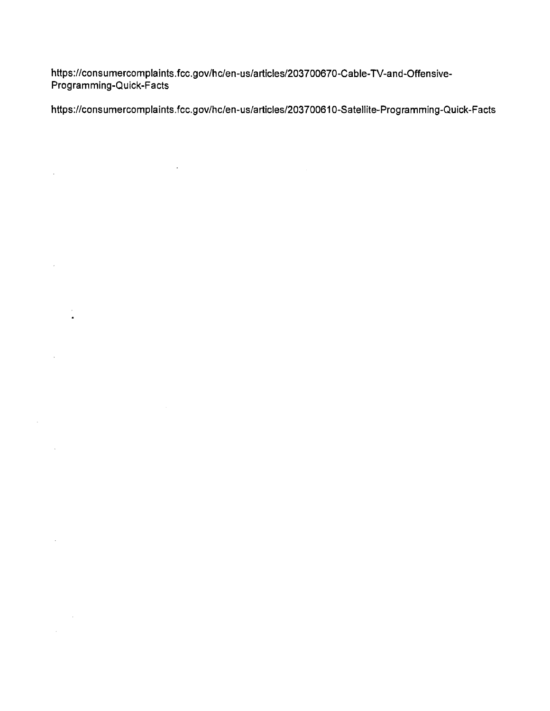https:l/consumercomplaints.fcc.gov/hc/en-us/articles/203700670-Cable-TV-and-Offensive-Programming-Quick-Facts

 $\mathcal{L}(\mathcal{L}^{\text{max}})$  and  $\mathcal{L}(\mathcal{L}^{\text{max}})$ 

 $\bar{\bar{z}}$ 

 $\mathcal{L}$ 

 $\mathcal{L}$ 

 $\sim 10^{-10}$ 

 $\mathcal{L}^{(1)}$  .

 $\label{eq:2} \frac{1}{\sqrt{2}}\left(\frac{1}{\sqrt{2}}\right)^{2} \left(\frac{1}{\sqrt{2}}\right)^{2} \left(\frac{1}{\sqrt{2}}\right)^{2}$  $\mathcal{L}_{\text{max}}$  and  $\mathcal{L}_{\text{max}}$ 

 $\hat{\mathbf{z}}$ 

https:l/consumercomplaints.fcc.gov/hc/en-us/articles/203700610-Satellite-Programming-Quick-Facts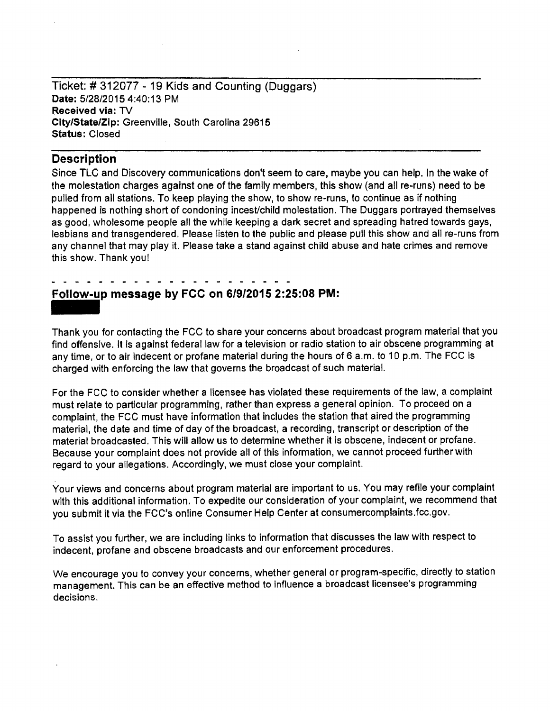Ticket: # 312077 - 19 Kids and Counting (Duggars) **Date:** 5/28/2015 4:40:13 PM **Received via:** TV **City/State/Zip:** Greenville, South Carolina 29615 **Status:** Closed

## **Description**

Since TLC and Discovery communications don't seem to care, maybe you can help. In the wake of the molestation charges against one of the family members, this show (and all re-runs) need to be pulled from all stations. To keep playing the show, to show re-runs, to continue as if nothing happened is nothing short of condoning incest/child molestation. The Duggars portrayed themselves as good, wholesome people all the while keeping a dark secret and spreading hatred towards gays, lesbians and transgendered. Please listen to the public and please pull this show and all re-runs from any channel that may play it. Please take a stand against child abuse and hate crimes and remove this show. Thank you!

# **Follow-up message by FCC on 6/9/2015 2:25:08 PM:**  -<br>Foll<br>Thar

Thank you for contacting the FCC to share your concerns about broadcast program material that you find offensive. It is against federal law for a television or radio station to air obscene programming at any time, or to air indecent or profane material during the hours of 6 a.m. to 10 p.m. The FCC is charged with enforcing the law that governs the broadcast of such material.

For the FCC to consider whether a licensee has violated these requirements of the law, a complaint must relate to particular programming, rather than express a general opinion. To proceed on a complaint, the FCC must have information that includes the station that aired the programming material, the date and time of day of the broadcast, a recording, transcript or description of the material broadcasted. This will allow us to determine whether it is obscene, indecent or profane. Because your complaint does not provide all of this information, we cannot proceed further with regard to your allegations. Accordingly, we must close your complaint.

Your views and concerns about program material are important to us. You may refile your complaint with this additional information. To expedite our consideration of your complaint, we recommend that you submit it via the FCC's online Consumer Help Center at consumercomplaints.fcc.gov.

To assist you further, we are including links to information that discusses the law with respect to indecent, profane and obscene broadcasts and our enforcement procedures.

We encourage you to convey your concerns, whether general or program-specific, directly to station management. This can be an effective method to influence a broadcast licensee's programming decisions.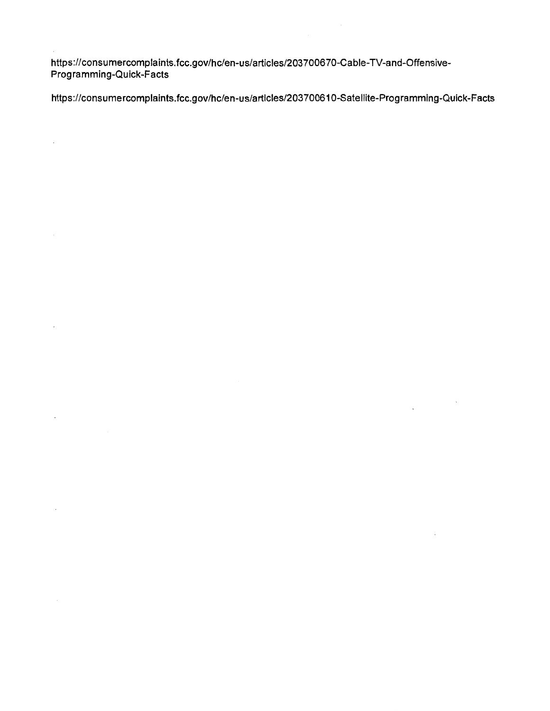https://consumercomplaints.fcc.gov/hc/en-us/articles/203700670-Cable-TV-and-Offensive-Programming-Quick-Facts

 $\bar{z}$ 

https://consumercomplaints.fcc.gov/hc/en-us/articles/203700610-Satellite-Programming-Quick-Facts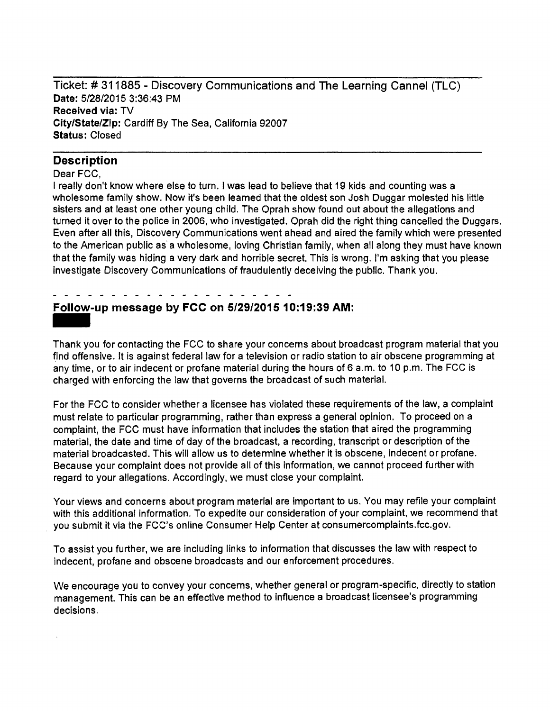Ticket:# 311885 - Discovery Communications and The Learning Cannel (TLC) Date: 5/28/2015 3:36:43 PM Received via: TV City/State/Zip: Cardiff By The Sea, California 92007 Status: Closed

### **Description**

#### Dear FCC,

I really don't know where else to turn. I was lead to believe that 19 kids and counting was a wholesome family show. Now it's been learned that the oldest son Josh Duggar molested his little sisters and at least one other young child. The Oprah show found out about the allegations and turned it over to the police in 2006, who investigated. Oprah did the right thing cancelled the Duggars. Even after all this, Discovery Communications went ahead and aired the family which were presented to the American public as a wholesome, loving Christian family, when all along they must have known that the family was hiding a very dark and horrible secret. This is wrong. I'm asking that you please investigate Discovery Communications of fraudulently deceiving the public. Thank you.

# Follow-up message by FCC on 5/29/2015 10:19:39 AM: - -<br>**Foll**<br>Thar

Thank you for contacting the FCC to share your concerns about broadcast program material that you find offensive. It is against federal law for a television or radio station to air obscene programming at any time, or to air indecent or profane material during the hours of 6 a.m. to 10 p.m. The FCC is charged with enforcing the law that governs the broadcast of such material.

For the FCC to consider whether a licensee has violated these requirements of the law, a complaint must relate to particular programming, rather than express a general opinion. To proceed on a complaint, the FCC must have information that includes the station that aired the programming material, the date and time of day of the broadcast, a recording, transcript or description of the material broadcasted. This will allow us to determine whether it is obscene, indecent or profane. Because your complaint does not provide all of this information, we cannot proceed further with regard to your allegations. Accordingly, we must close your complaint.

Your views and concerns about program material are important to us. You may refile your complaint with this additional information. To expedite our consideration of your complaint, we recommend that you submit it via the FCC's online Consumer Help Center at consumercomplaints.fcc.gov.

To assist you further, we are including links to information that discusses the law with respect to indecent, profane and obscene broadcasts and our enforcement procedures.

We encourage you to convey your concerns, whether general or program-specific, directly to station management. This can be an effective method to influence a broadcast licensee's programming decisions.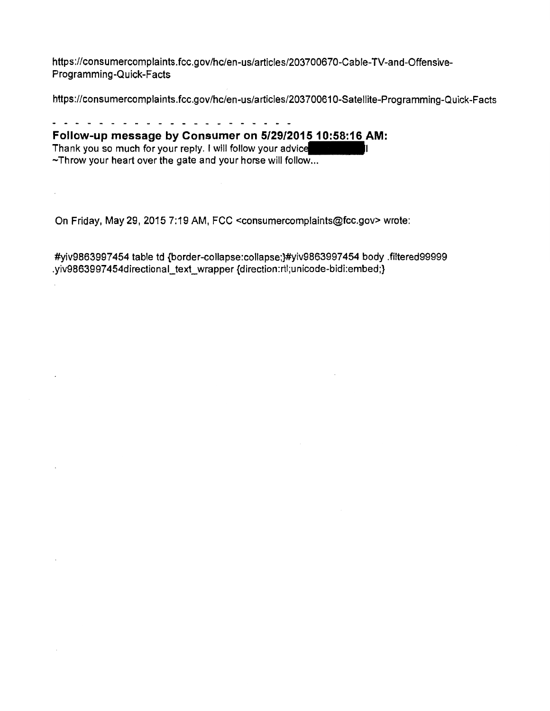https://consumercomplaints.fcc.gov/hc/en-us/articles/203700670-Cable-TV-and-Offensive-Programming-Quick-Facts

https://consumercomplaints.fcc.gov/hc/en-us/articles/203700610-Satellite-Programming-Quick-Facts

. . . . . . . . . . . . *. . .* . . . . **Follow-up message by Consumer on 5/29/2015 10:58:16 AM:**  Thank you so much for your reply. I will follow your advice ~Throw your heart over the gate and your horse will follow...

On Friday, May 29, 2015 7:19 AM, FCC <consumercomplaints@fcc.gov> wrote:

#yiv9863997454 table td {border-collapse:collapse;}#yiv9863997454 body .filtered99999 .yiv9863997454directional\_text\_wrapper {direction:rtl;unicode-bidi:embed;}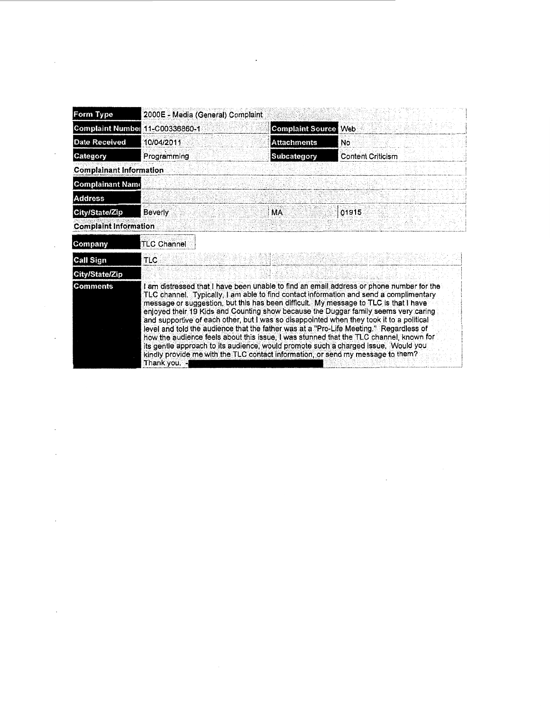| Form Type                      | 2000E - Media (General) Complaint |                                                                                 |                                                                                                                                                                                                                                                                                                                                                                                                                                                                                                                                                                                                                                                                                                                                         |
|--------------------------------|-----------------------------------|---------------------------------------------------------------------------------|-----------------------------------------------------------------------------------------------------------------------------------------------------------------------------------------------------------------------------------------------------------------------------------------------------------------------------------------------------------------------------------------------------------------------------------------------------------------------------------------------------------------------------------------------------------------------------------------------------------------------------------------------------------------------------------------------------------------------------------------|
| <b>Complaint Number</b>        | 11-C00336860-1                    | <b>Complaint Source Web</b>                                                     |                                                                                                                                                                                                                                                                                                                                                                                                                                                                                                                                                                                                                                                                                                                                         |
| Date Received                  | 10/04/2011                        | <b>Attachments</b>                                                              | <b>No</b>                                                                                                                                                                                                                                                                                                                                                                                                                                                                                                                                                                                                                                                                                                                               |
| Category                       | Programming                       | Subcategory                                                                     | <b>Content Criticism</b>                                                                                                                                                                                                                                                                                                                                                                                                                                                                                                                                                                                                                                                                                                                |
| <b>Complainant Information</b> |                                   |                                                                                 |                                                                                                                                                                                                                                                                                                                                                                                                                                                                                                                                                                                                                                                                                                                                         |
| <b>Complainant Name</b>        |                                   |                                                                                 |                                                                                                                                                                                                                                                                                                                                                                                                                                                                                                                                                                                                                                                                                                                                         |
| <b>Address</b>                 |                                   |                                                                                 |                                                                                                                                                                                                                                                                                                                                                                                                                                                                                                                                                                                                                                                                                                                                         |
| City/State/Zip                 | <b>Beverly</b>                    | <b>MA</b>                                                                       | 01915                                                                                                                                                                                                                                                                                                                                                                                                                                                                                                                                                                                                                                                                                                                                   |
| <b>Complaint Information</b>   |                                   |                                                                                 |                                                                                                                                                                                                                                                                                                                                                                                                                                                                                                                                                                                                                                                                                                                                         |
| Company                        | <b>TLC Channel</b>                |                                                                                 |                                                                                                                                                                                                                                                                                                                                                                                                                                                                                                                                                                                                                                                                                                                                         |
| Call Sign                      | TLC                               |                                                                                 |                                                                                                                                                                                                                                                                                                                                                                                                                                                                                                                                                                                                                                                                                                                                         |
| City/State/Zip                 |                                   |                                                                                 |                                                                                                                                                                                                                                                                                                                                                                                                                                                                                                                                                                                                                                                                                                                                         |
| <b>Comments</b>                | Thank you. -                      | kindly provide me with the TLC contact information, or send my message to them? | I am distressed that I have been unable to find an email address or phone number for the<br>TLC channel. Typically, I am able to find contact information and send a complimentary<br>message or suggestion, but this has been difficult. My message to TLC is that I have<br>enjoyed their 19 Kids and Counting show because the Duggar family seems very caring<br>and supportive of each other, but I was so disappointed when they took it to a political<br>level and told the audience that the father was at a "Pro-Life Meeting." Regardless of<br>how the audience feels about this issue, I was stunned that the TLC channel, known for<br>its gentle approach to its audience, would promote such a charged issue. Would you |

 $\label{eq:2} \frac{1}{\sqrt{2}}\left(\frac{1}{\sqrt{2}}\right)^{2} \left(\frac{1}{\sqrt{2}}\right)^{2} \left(\frac{1}{\sqrt{2}}\right)^{2} \left(\frac{1}{\sqrt{2}}\right)^{2} \left(\frac{1}{\sqrt{2}}\right)^{2} \left(\frac{1}{\sqrt{2}}\right)^{2} \left(\frac{1}{\sqrt{2}}\right)^{2} \left(\frac{1}{\sqrt{2}}\right)^{2} \left(\frac{1}{\sqrt{2}}\right)^{2} \left(\frac{1}{\sqrt{2}}\right)^{2} \left(\frac{1}{\sqrt{2}}\right)^{2} \left(\frac{$ 

 $\label{eq:2.1} \frac{1}{\sqrt{2}}\int_{\mathbb{R}^{3}}\left|\frac{d\mathbf{r}}{d\mathbf{r}}\right|^{2}d\mathbf{r}^{2}d\mathbf{r}^{2}d\mathbf{r}^{2}d\mathbf{r}^{2}d\mathbf{r}^{2}d\mathbf{r}^{2}d\mathbf{r}^{2}d\mathbf{r}^{2}d\mathbf{r}^{2}d\mathbf{r}^{2}d\mathbf{r}^{2}d\mathbf{r}^{2}d\mathbf{r}^{2}d\mathbf{r}^{2}d\mathbf{r}^{2}d\mathbf{r}^{2}d\math$ 

 $\mathcal{A}(\mathcal{A})$  and  $\mathcal{A}(\mathcal{A})$ 

 $\mathcal{L}(\mathcal{L}^{\text{max}}_{\text{max}})$ 

 $\sim 10^{11}$  km s  $^{-1}$ 

 $\mathcal{A}^{\mathcal{A}}$  and  $\mathcal{A}^{\mathcal{A}}$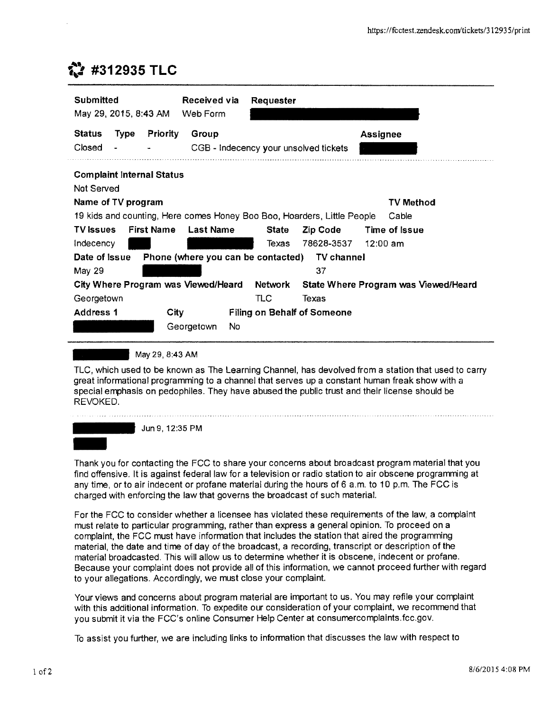## 1:) **#312935 TLC**

| Submitted<br>May 29, 2015, 8:43 AM                                      |                   | Received via<br>Web Form              | Requester      |                                    |                                      |
|-------------------------------------------------------------------------|-------------------|---------------------------------------|----------------|------------------------------------|--------------------------------------|
| <b>Status</b><br>Type                                                   | <b>Priority</b>   | Group                                 |                |                                    | <b>Assignee</b>                      |
| Closed                                                                  |                   | CGB - Indecency your unsolved tickets |                |                                    |                                      |
| <b>Complaint Internal Status</b><br>Not Served<br>Name of TV program    |                   |                                       |                |                                    | TV Method                            |
| 19 kids and counting, Here comes Honey Boo Boo, Hoarders, Little People |                   |                                       |                |                                    | Cable                                |
| TV issues<br>Indecency                                                  | <b>First Name</b> | <b>Last Name</b>                      | State<br>Texas | Zip Code<br>78628-3537             | Time of Issue<br>$12:00$ am          |
| Date of Issue                                                           |                   | Phone (where you can be contacted)    |                | <b>TV</b> channel                  |                                      |
| May 29                                                                  |                   |                                       |                | 37                                 |                                      |
| City Where Program was Viewed/Heard                                     |                   |                                       | Network        |                                    | State Where Program was Viewed/Heard |
| Georgetown                                                              |                   |                                       | TLC            | Texas                              |                                      |
| <b>Address 1</b>                                                        | City              |                                       |                | <b>Filing on Behalf of Someone</b> |                                      |
|                                                                         |                   | No.<br>Georgetown                     |                |                                    |                                      |

May 29, 8:43 AM

TLC, which used to be known as The Learning Channel, has devolved from a station that used to carry great informational programming to a channel that serves up a constant human freak show with a special emphasis on pedophiles. They have abused the public trust and their license should be REVOKED.



Thank you for contacting the FCC to share your concerns about broadcast program material that you find offensive. It is against federal law for a television or radio station to air obscene programming at any time, or to air indecent or profane material during the hours of 6 a.m. to 10 p.m. The FCC is charged with enforcing the law that governs the broadcast of such material.

For the FCC to consider whether a licensee has violated these requirements of the law, a complaint must relate to particular programming, rather than express a general opinion. To proceed on a complaint, the FCC must have information that includes the station that aired the programming material, the date and time of day of the broadcast, a recording, transcript or description of the material broadcasted. This will allow us to determine whether it is obscene, indecent or profane. Because your complaint does not provide all of this information, we cannot proceed further with regard to your allegations. Accordingly, we must close your complaint.

Your views and concerns about program material are important to us. You may refile your complaint with this additional information. To expedite our consideration of your complaint, we recommend that you submit it via the FCC's online Consumer Help Center at consumercomplaints.fcc.gov.

To assist you further, we are including links to information that discusses the law with respect to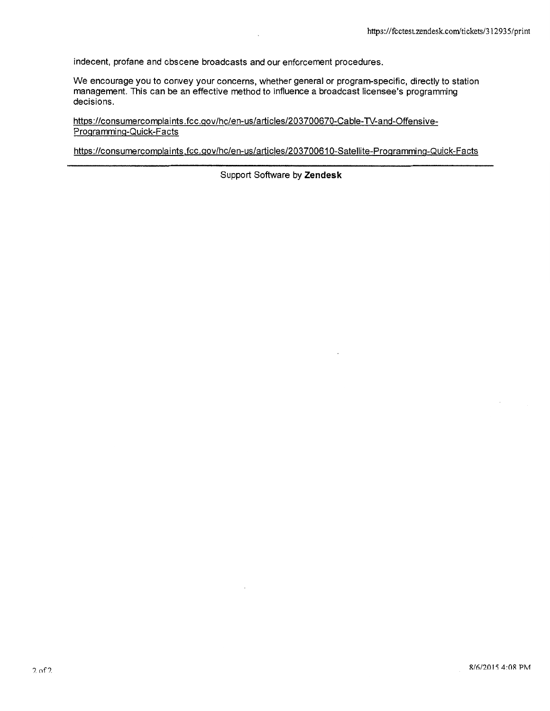indecent, profane and obscene broadcasts and our enforcement procedures.

We encourage you to convey your concerns, whether general or program-specific, directly to station management. This can be an effective method to influence a broadcast licensee's programming decisions.

https://consumercomplaints.fcc.gov/hc/en-us/articles/203700670-Cable-TV-and-Offensive-Programming-Quick-Facts

https://consumercomplaints.fcc.gov/hc/en-us/articles/203700610-Satellite-Programming-Quick-Facts

Support Software by **Zendesk**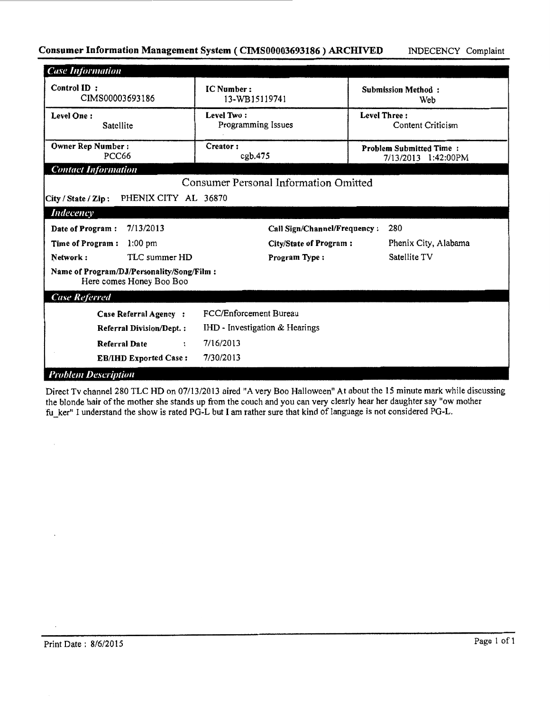## Consumer Information Management System (CIMS00003693186) ARCHIVED INDECENCY Complaint

| <b>Case Information</b>                                               |                                              |                                                       |
|-----------------------------------------------------------------------|----------------------------------------------|-------------------------------------------------------|
| Control ID:<br>CIMS00003693186                                        | IC Number:<br>13-WB15119741                  | <b>Submission Method:</b><br>Web                      |
| Level One:<br>Satellite                                               | Level Two:<br>Programming Issues             | <b>Level Three:</b><br>Content Criticism              |
| Owner Rep Number:<br><b>PCC66</b>                                     | Creator:<br>cpb.475                          | <b>Problem Submitted Time:</b><br>7/13/2013 1:42:00PM |
| <b>Contact Information</b>                                            |                                              |                                                       |
|                                                                       | <b>Consumer Personal Information Omitted</b> |                                                       |
| PHENIX CITY AL 36870<br>City / State / Zip:                           |                                              |                                                       |
| <b>Indecency</b>                                                      |                                              |                                                       |
| 7/13/2013<br>Date of Program:                                         | Call Sign/Channel/Frequency:                 | 280                                                   |
| $1:00$ pm<br>Time of Program:                                         | <b>City/State of Program:</b>                | Phenix City, Alabama                                  |
| TLC summer HD<br>Network:                                             | Program Type:                                | Satellite TV                                          |
| Name of Program/DJ/Personality/Song/Film:<br>Here comes Honey Boo Boo |                                              |                                                       |
| <b>Case Referred</b>                                                  |                                              |                                                       |
| Case Referral Agency:                                                 | FCC/Enforcement Bureau                       |                                                       |
| <b>Referral Division/Dept.:</b>                                       | IHD - Investigation & Hearings               |                                                       |
| <b>Referral Date</b>                                                  | 7/16/2013<br>$\ddot{\phantom{a}}$            |                                                       |
| <b>EB/IHD Exported Case:</b>                                          | 7/30/2013                                    |                                                       |
| <b>Problem Description</b>                                            |                                              |                                                       |

Direct Tv channel 280 TLC HD on 07/13/2013 aired "A very Boo Halloween" At about the 15 minute mark while discussing the blonde hair of the mother she stands up from the couch and you can very clearly hear her daughter say "ow mother fu\_ker" I understand the show is rated PG-L but I am rather sure that kind of language is not considered PG-L.

 $\bar{\phantom{a}}$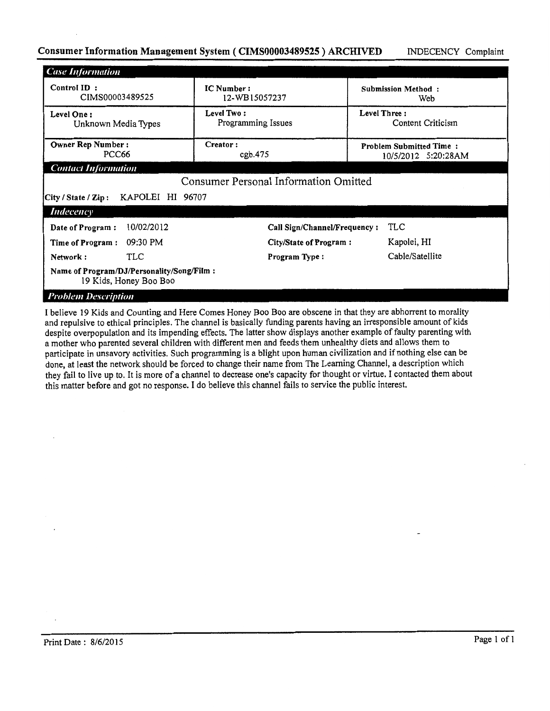## Consumer Information Management System (CIMS00003489525) ARCHIVED INDECENCY Complaint

| <b>Case Information</b>                                             |                                              |                                                       |  |
|---------------------------------------------------------------------|----------------------------------------------|-------------------------------------------------------|--|
| Control ID:<br>CIMS00003489525                                      | IC Number:<br>12-WB15057237                  | <b>Submission Method:</b><br>Web                      |  |
| Level One:<br>Unknown Media Types                                   | Level Two:<br>Programming Issues             | Level Three:<br>Content Criticism                     |  |
| <b>Owner Rep Number:</b><br>PCC66                                   | Creator:<br>cgb.475                          | <b>Problem Submitted Time:</b><br>10/5/2012 5:20:28AM |  |
| <b>Contact Information</b>                                          |                                              |                                                       |  |
|                                                                     | <b>Consumer Personal Information Omitted</b> |                                                       |  |
| KAPOLEI HI 96707<br> City / State / Zip:                            |                                              |                                                       |  |
| Indecency                                                           |                                              |                                                       |  |
| 10/02/2012<br>Date of Program:                                      | Call Sign/Channel/Frequency:                 | TLC                                                   |  |
| 09:30 PM<br>Time of Program:                                        | City/State of Program:                       | Kapolei, HI                                           |  |
| <b>TLC</b><br>Network:                                              | Program Type:                                | Cable/Satellite                                       |  |
| Name of Program/DJ/Personality/Song/Film:<br>19 Kids, Honey Boo Boo |                                              |                                                       |  |
| <b>Problem Description</b>                                          |                                              |                                                       |  |

I believe 19 Kids and Counting and Here Comes Honey Boo Boo are obscene in that they are abhorrent to morality and repulsive to ethical principles. The channel is basically funding parents having an irresponsible amount of kids despite overpopulation and its impending effects. The latter show displays another example of faulty parenting with a mother who parented several children with different men and feeds them unhealthy diets and allows them to participate in unsavory activities. Such programming is a blight upon human civilization and if nothing else can be done, at least the network should be forced to change their name from The Leaming Channel, a description which they fail to live up to. It is more of a channel to decrease one's capacity for thought or virtue. I contacted them about this matter before and got no response. I do believe this channel fails to service the public interest.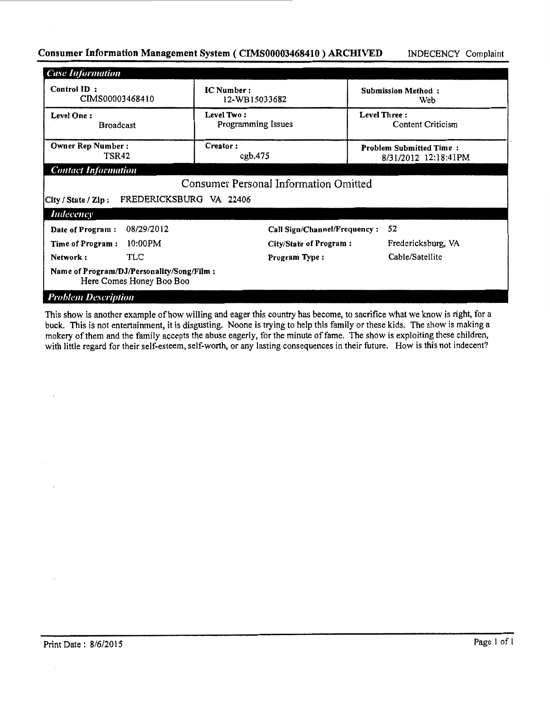## Consumer Information Management System (CIMS00003468410) ARCHIVED INDECENCY Complaint

| <b>Case Information</b>                                               |                                              |                                                        |  |
|-----------------------------------------------------------------------|----------------------------------------------|--------------------------------------------------------|--|
| Control ID:<br>CIMS00003468410                                        | <b>IC</b> Number:<br>12-WB15033682           | <b>Submission Method:</b><br>Web                       |  |
| Level One:<br><b>Broadcast</b>                                        | Level Two:<br>Programming Issues             | Level Three:<br>Content Criticism                      |  |
| <b>Owner Rep Number:</b><br>TSR42                                     | Creator:<br>cgb.475                          | <b>Problem Submitted Time:</b><br>8/31/2012 12:18:41PM |  |
| <b>Contact Information</b>                                            |                                              |                                                        |  |
|                                                                       | <b>Consumer Personal Information Omitted</b> |                                                        |  |
| FREDERICKSBURG VA 22406<br>City / State / Zip:                        |                                              |                                                        |  |
| <i>Indecency</i>                                                      |                                              |                                                        |  |
| 08/29/2012<br>Date of Program:                                        | Call Sign/Channel/Frequency:                 | 52                                                     |  |
| $10:00$ PM<br>Time of Program:                                        | City/State of Program:                       | Fredericksburg, VA                                     |  |
| TLC<br>Network:                                                       | Program Type:                                | Cable/Satellite                                        |  |
| Name of Program/DJ/Personality/Song/Film:<br>Here Comes Honey Boo Boo |                                              |                                                        |  |
| <b>Problem Description</b>                                            |                                              |                                                        |  |

This show is another example of how willing and eager this country has become, to sacrifice what we know is right, for a buck. This is not entertainment, it is disgusting. Noone is trying to help this family or these kids. The show is making a mokery of them and the family accepts the abuse eagerly, for the minute of fame. The show is exploiting these children, with little regard for their self-esteem, self-worth, or any lasting consequences in their future. How is this not indecent?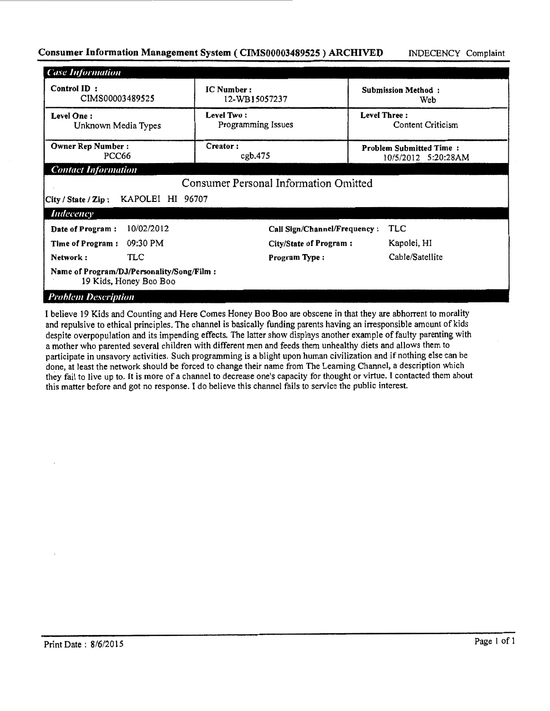## Consumer Information Management System (CIMS00003489525) ARCHIVED INDECENCY Complaint

| <b>Case Information</b>                                               |                                              |                                                       |  |
|-----------------------------------------------------------------------|----------------------------------------------|-------------------------------------------------------|--|
| Control ID:<br>CIMS00003489525                                        | <b>IC Number:</b><br>12-WB15057237           | <b>Submission Method:</b><br>Web                      |  |
| Level Two:<br>Level One:<br>Programming Issues<br>Unknown Media Types |                                              | <b>Level Three:</b><br>Content Criticism              |  |
| <b>Owner Rep Number:</b><br>PCC66                                     | Creator:<br>cgb.475                          | <b>Problem Submitted Time:</b><br>10/5/2012 5:20:28AM |  |
| <b>Contact Information</b>                                            |                                              |                                                       |  |
|                                                                       | <b>Consumer Personal Information Omitted</b> |                                                       |  |
| KAPOLEI HI 96707<br>City / State / Zip:                               |                                              |                                                       |  |
| Indecency                                                             |                                              |                                                       |  |
| 10/02/2012<br>Date of Program:                                        | Call Sign/Channel/Frequency:                 | <b>TLC</b>                                            |  |
| 09:30 PM<br>Time of Program:                                          | City/State of Program:                       | Kapolei, HI                                           |  |
| TLC<br>Network:                                                       | Program Type:                                | Cable/Satellite                                       |  |
| Name of Program/DJ/Personality/Song/Film:<br>19 Kids, Honey Boo Boo   |                                              |                                                       |  |
| <b>Problem Description</b>                                            |                                              |                                                       |  |

I believe 19 Kids and Counting and Here Comes Honey Boo Boo are obscene in that they are abhorrent to morality and repulsive to ethical principles. The channel is basically funding parents having an irresponsible amount of kids despite overpopulation and its impending effects. The latter show displays another example of faulty parenting with a mother who parented several children with different men and feeds them unhealthy diets and allows them to participate in unsavory activities. Such programming is a blight upon human civilization and if nothing else can be done, at least the network should be forced to change their name from The Leaming Channel, a description which they fail to live up to. It is more of a channel to decrease one's capacity for thought or virtue. I contacted them about this matter before and got no response. I do believe this channel fails to service the public interest.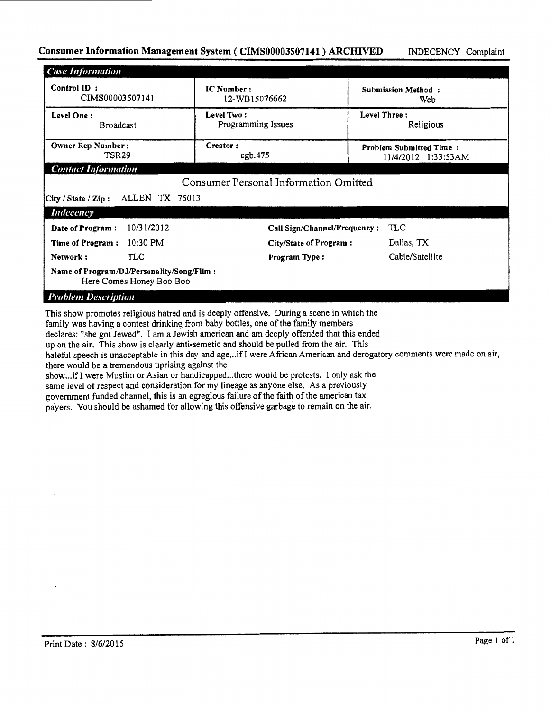## Consumer Information Management System (CIMS00003507141) ARCHIVED INDECENCY Complaint

| <b>Case Information</b>                                               |                                              |                                                       |
|-----------------------------------------------------------------------|----------------------------------------------|-------------------------------------------------------|
| Control ID:<br>CIMS00003507141                                        | IC Number:<br>12-WB15076662                  | Submission Method:<br>Web                             |
| Level One:<br><b>Broadcast</b>                                        | Level Two:<br>Programming Issues             | Level Three:<br>Religious                             |
| Owner Rep Number:<br>TSR29                                            | Creator:<br>cgb.475                          | <b>Problem Submitted Time:</b><br>11/4/2012 1:33:53AM |
| <b>Contact Information</b>                                            |                                              |                                                       |
|                                                                       | <b>Consumer Personal Information Omitted</b> |                                                       |
| ALLEN TX 75013<br>City / State / Zip:                                 |                                              |                                                       |
| <b>Indecency</b>                                                      |                                              |                                                       |
| 10/31/2012<br>Date of Program:                                        | Call Sign/Channel/Frequency:                 | TLC                                                   |
| 10:30 PM<br>Time of Program:                                          | City/State of Program:                       | Dallas, TX                                            |
| TLC<br>Network:                                                       | Program Type:                                | Cable/Satellite                                       |
| Name of Program/DJ/Personality/Song/Film:<br>Here Comes Honey Boo Boo |                                              |                                                       |
| <b>Problem Description</b>                                            |                                              |                                                       |

This show promotes religious hatred and is deeply offensive. During a scene in which the family was having a contest drinking from baby bottles, one of the family members declares: "she got Jewed". I am a Jewish american and am deeply offended that this ended up on the air. This show is clearly anti-semetic and should be pulled from the air. This hateful speech is unacceptable in this day and age... if I were African American and derogatory comments were made on air, there would be a tremendous uprising against the show...if I were Muslim or Asian or handicapped...there would be protests. I only ask the

same level of respect and consideration for my lineage as anyone else. As a previously government funded channel, this is an egregious failure of the faith of the american tax payers. You should be ashamed for allowing this offensive garbage to remain on the air.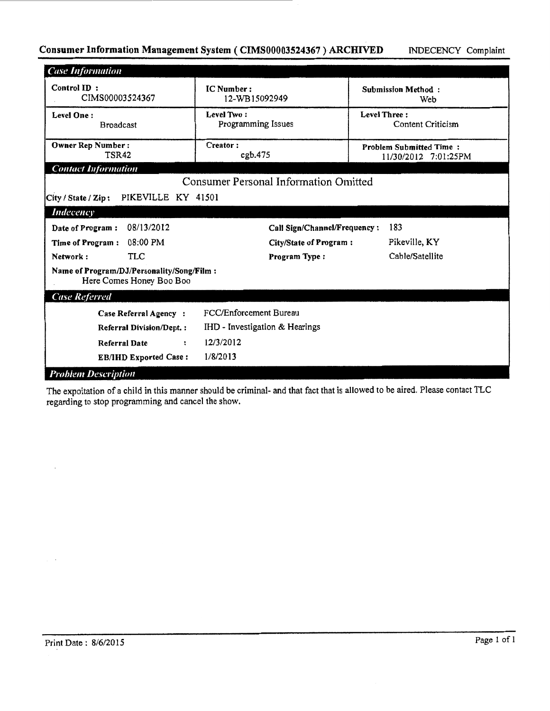## Consumer Information Management System (CIMS00003524367) ARCHIVED MDECENCY Complaint

| <b>Case Information</b>                                               |                                       |                                                        |  |
|-----------------------------------------------------------------------|---------------------------------------|--------------------------------------------------------|--|
| Control ID:<br>CIMS00003524367                                        | IC Number:<br>12-WB15092949           | <b>Submission Method:</b><br>Web                       |  |
| <b>Level One:</b><br><b>Broadcast</b>                                 | Level Two:<br>Programming Issues      | Level Three:<br>Content Criticism                      |  |
| <b>Owner Rep Number:</b><br>TSR42                                     | Creator:<br>cgb.475                   | <b>Problem Submitted Time:</b><br>11/30/2012 7:01:25PM |  |
| <b>Contact Information</b>                                            |                                       |                                                        |  |
|                                                                       | Consumer Personal Information Omitted |                                                        |  |
| PIKEVILLE KY 41501<br>City / State / Zip:                             |                                       |                                                        |  |
| <b>Indecency</b>                                                      |                                       |                                                        |  |
| 08/13/2012<br>Date of Program:                                        | Call Sign/Channel/Frequency:          | 183                                                    |  |
| 08:00 PM<br>Time of Program:                                          | City/State of Program:                | Pikeville, KY                                          |  |
| <b>TLC</b><br>Network:                                                | Program Type:                         | Cable/Satellite                                        |  |
| Name of Program/DJ/Personality/Song/Film:<br>Here Comes Honey Boo Boo |                                       |                                                        |  |
| <b>Case Referred</b>                                                  |                                       |                                                        |  |
| Case Referral Agency:                                                 | FCC/Enforcement Bureau                |                                                        |  |
| <b>Referral Division/Dept.:</b>                                       | IHD - Investigation & Hearings        |                                                        |  |
| <b>Referral Date</b><br>$\ddot{\phantom{a}}$                          | 12/3/2012                             |                                                        |  |
| <b>EB/IHD Exported Case:</b>                                          | 1/8/2013                              |                                                        |  |
| <b>Problem Description</b>                                            |                                       |                                                        |  |

The expoitation of a child in this manner should be criminal- and that fact that is allowed to be aired. Please contact TLC regarding to stop programming and cancel the show.